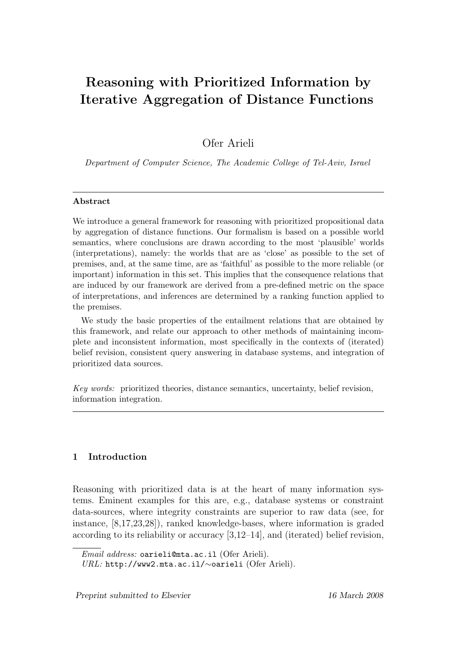# Reasoning with Prioritized Information by Iterative Aggregation of Distance Functions

Ofer Arieli

Department of Computer Science, The Academic College of Tel-Aviv, Israel

## Abstract

We introduce a general framework for reasoning with prioritized propositional data by aggregation of distance functions. Our formalism is based on a possible world semantics, where conclusions are drawn according to the most 'plausible' worlds (interpretations), namely: the worlds that are as 'close' as possible to the set of premises, and, at the same time, are as 'faithful' as possible to the more reliable (or important) information in this set. This implies that the consequence relations that are induced by our framework are derived from a pre-defined metric on the space of interpretations, and inferences are determined by a ranking function applied to the premises.

We study the basic properties of the entailment relations that are obtained by this framework, and relate our approach to other methods of maintaining incomplete and inconsistent information, most specifically in the contexts of (iterated) belief revision, consistent query answering in database systems, and integration of prioritized data sources.

Key words: prioritized theories, distance semantics, uncertainty, belief revision, information integration.

# 1 Introduction

Reasoning with prioritized data is at the heart of many information systems. Eminent examples for this are, e.g., database systems or constraint data-sources, where integrity constraints are superior to raw data (see, for instance, [8,17,23,28]), ranked knowledge-bases, where information is graded according to its reliability or accuracy [3,12–14], and (iterated) belief revision,

Email address: oarieli@mta.ac.il (Ofer Arieli).

URL: http://www2.mta.ac.il/∼oarieli (Ofer Arieli).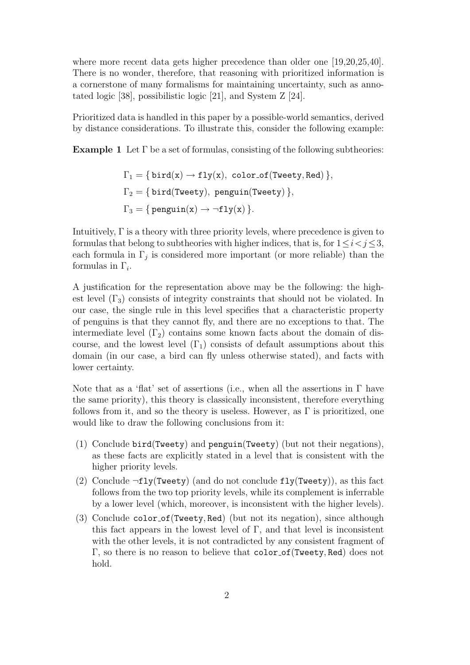where more recent data gets higher precedence than older one [19,20,25,40]. There is no wonder, therefore, that reasoning with prioritized information is a cornerstone of many formalisms for maintaining uncertainty, such as annotated logic [38], possibilistic logic [21], and System Z [24].

Prioritized data is handled in this paper by a possible-world semantics, derived by distance considerations. To illustrate this, consider the following example:

**Example 1** Let  $\Gamma$  be a set of formulas, consisting of the following subtheories:

$$
\Gamma_1 = \{ \text{bird}(x) \to \text{fly}(x), \text{ color_of}(\text{Tweety}, \text{Red}) \},
$$

$$
\Gamma_2 = \{ \text{bird}(\text{Tweety}), \text{ penguin}(\text{Tweety}) \},
$$

$$
\Gamma_3 = \{ \text{ penguin}(x) \to \neg \text{fly}(x) \}.
$$

Intuitively,  $\Gamma$  is a theory with three priority levels, where precedence is given to formulas that belong to subtheories with higher indices, that is, for  $1 \leq i < j \leq 3$ , each formula in  $\Gamma_j$  is considered more important (or more reliable) than the formulas in  $\Gamma_i$ .

A justification for the representation above may be the following: the highest level  $(\Gamma_3)$  consists of integrity constraints that should not be violated. In our case, the single rule in this level specifies that a characteristic property of penguins is that they cannot fly, and there are no exceptions to that. The intermediate level  $(\Gamma_2)$  contains some known facts about the domain of discourse, and the lowest level  $(\Gamma_1)$  consists of default assumptions about this domain (in our case, a bird can fly unless otherwise stated), and facts with lower certainty.

Note that as a 'flat' set of assertions (i.e., when all the assertions in  $\Gamma$  have the same priority), this theory is classically inconsistent, therefore everything follows from it, and so the theory is useless. However, as  $\Gamma$  is prioritized, one would like to draw the following conclusions from it:

- (1) Conclude bird(Tweety) and penguin(Tweety) (but not their negations), as these facts are explicitly stated in a level that is consistent with the higher priority levels.
- (2) Conclude  $\neg fly(Tweety)$  (and do not conclude  $fly(Tweety)$ ), as this fact follows from the two top priority levels, while its complement is inferrable by a lower level (which, moreover, is inconsistent with the higher levels).
- (3) Conclude color of(Tweety, Red) (but not its negation), since although this fact appears in the lowest level of  $\Gamma$ , and that level is inconsistent with the other levels, it is not contradicted by any consistent fragment of Γ, so there is no reason to believe that color of(Tweety, Red) does not hold.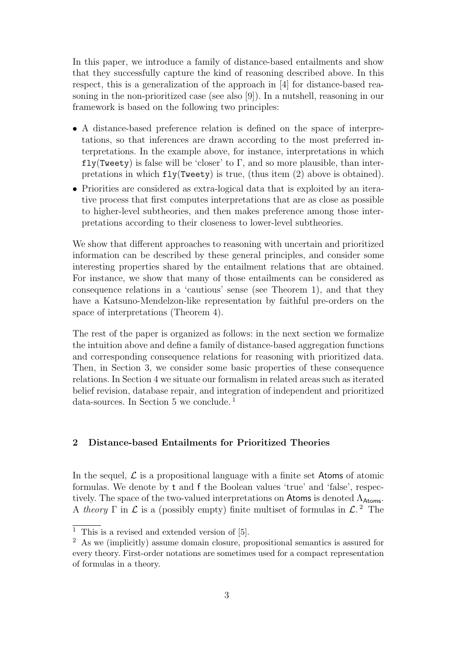In this paper, we introduce a family of distance-based entailments and show that they successfully capture the kind of reasoning described above. In this respect, this is a generalization of the approach in [4] for distance-based reasoning in the non-prioritized case (see also [9]). In a nutshell, reasoning in our framework is based on the following two principles:

- A distance-based preference relation is defined on the space of interpretations, so that inferences are drawn according to the most preferred interpretations. In the example above, for instance, interpretations in which  $fly(Tweety)$  is false will be 'closer' to  $\Gamma$ , and so more plausible, than interpretations in which  $fly(Tweety)$  is true, (thus item (2) above is obtained).
- Priorities are considered as extra-logical data that is exploited by an iterative process that first computes interpretations that are as close as possible to higher-level subtheories, and then makes preference among those interpretations according to their closeness to lower-level subtheories.

We show that different approaches to reasoning with uncertain and prioritized information can be described by these general principles, and consider some interesting properties shared by the entailment relations that are obtained. For instance, we show that many of those entailments can be considered as consequence relations in a 'cautious' sense (see Theorem 1), and that they have a Katsuno-Mendelzon-like representation by faithful pre-orders on the space of interpretations (Theorem 4).

The rest of the paper is organized as follows: in the next section we formalize the intuition above and define a family of distance-based aggregation functions and corresponding consequence relations for reasoning with prioritized data. Then, in Section 3, we consider some basic properties of these consequence relations. In Section 4 we situate our formalism in related areas such as iterated belief revision, database repair, and integration of independent and prioritized data-sources. In Section 5 we conclude. <sup>1</sup>

# 2 Distance-based Entailments for Prioritized Theories

In the sequel,  $\mathcal L$  is a propositional language with a finite set Atoms of atomic formulas. We denote by t and f the Boolean values 'true' and 'false', respectively. The space of the two-valued interpretations on Atoms is denoted  $\Lambda_{\text{Atoms}}$ . A theory  $\Gamma$  in  $\mathcal L$  is a (possibly empty) finite multiset of formulas in  $\mathcal L$ .<sup>2</sup> The

 $\overline{1}$  This is a revised and extended version of [5].

<sup>2</sup> As we (implicitly) assume domain closure, propositional semantics is assured for every theory. First-order notations are sometimes used for a compact representation of formulas in a theory.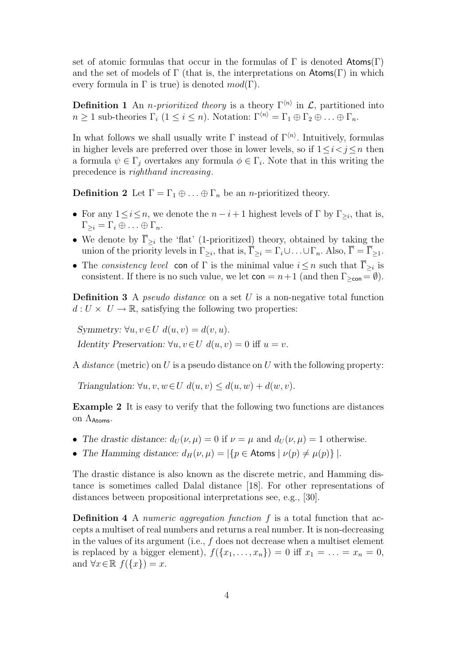set of atomic formulas that occur in the formulas of  $\Gamma$  is denoted Atoms( $\Gamma$ ) and the set of models of  $\Gamma$  (that is, the interpretations on  $\mathsf{Atoms}(\Gamma)$  in which every formula in  $\Gamma$  is true) is denoted  $mod(\Gamma)$ .

**Definition 1** An *n-prioritized theory* is a theory  $\Gamma^{(n)}$  in  $\mathcal{L}$ , partitioned into  $n \geq 1$  sub-theories  $\Gamma_i$   $(1 \leq i \leq n)$ . Notation:  $\Gamma^{(n)} = \Gamma_1 \oplus \Gamma_2 \oplus \ldots \oplus \Gamma_n$ .

In what follows we shall usually write  $\Gamma$  instead of  $\Gamma^{(n)}$ . Intuitively, formulas in higher levels are preferred over those in lower levels, so if  $1 \leq i < j \leq n$  then a formula  $\psi \in \Gamma_j$  overtakes any formula  $\phi \in \Gamma_i$ . Note that in this writing the precedence is righthand increasing.

**Definition 2** Let  $\Gamma = \Gamma_1 \oplus \ldots \oplus \Gamma_n$  be an *n*-prioritized theory.

- For any  $1 \leq i \leq n$ , we denote the  $n i + 1$  highest levels of  $\Gamma$  by  $\Gamma_{\geq i}$ , that is,  $\Gamma_{\geq i} = \Gamma_i \oplus \ldots \oplus \Gamma_n.$
- We denote by  $\overline{\Gamma}_{\geq i}$  the 'flat' (1-prioritized) theory, obtained by taking the union of the priority levels in  $\Gamma_{\geq i}$ , that is,  $\overline{\Gamma}_{\geq i} = \Gamma_i \cup \ldots \cup \Gamma_n$ . Also,  $\overline{\Gamma} = \overline{\Gamma}_{\geq 1}$ .
- The consistency level con of  $\Gamma$  is the minimal value  $i \leq n$  such that  $\overline{\Gamma}_{\geq i}$  is consistent. If there is no such value, we let  $con = n+1$  (and then  $\Gamma_{\geq con} = \emptyset$ ).

**Definition 3** A *pseudo distance* on a set  $U$  is a non-negative total function  $d: U \times U \rightarrow \mathbb{R}$ , satisfying the following two properties:

Symmetry:  $\forall u, v \in U \ d(u, v) = d(v, u).$ Identity Preservation:  $\forall u, v \in U$   $d(u, v) = 0$  iff  $u = v$ .

A *distance* (metric) on U is a pseudo distance on U with the following property:

Triangulation:  $\forall u, v, w \in U \ d(u, v) \leq d(u, w) + d(w, v)$ .

Example 2 It is easy to verify that the following two functions are distances on  $\Lambda_{\text{Atoms}}$ .

- The drastic distance:  $d_U(\nu,\mu) = 0$  if  $\nu = \mu$  and  $d_U(\nu,\mu) = 1$  otherwise.
- The Hamming distance:  $d_H(\nu, \mu) = |\{p \in \text{Atoms} \mid \nu(p) \neq \mu(p)\}|$ .

The drastic distance is also known as the discrete metric, and Hamming distance is sometimes called Dalal distance [18]. For other representations of distances between propositional interpretations see, e.g., [30].

**Definition 4** A numeric aggregation function f is a total function that accepts a multiset of real numbers and returns a real number. It is non-decreasing in the values of its argument (i.e.,  $f$  does not decrease when a multiset element is replaced by a bigger element),  $f({x_1, \ldots, x_n}) = 0$  iff  $x_1 = \ldots = x_n = 0$ , and  $\forall x \in \mathbb{R}$   $f(\lbrace x \rbrace) = x$ .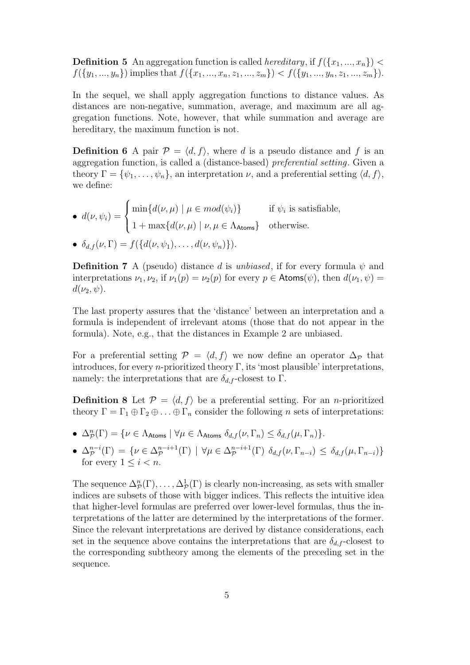**Definition 5** An aggregation function is called *hereditary*, if  $f(\lbrace x_1, ..., x_n \rbrace)$  <  $f({y_1,..., y_n})$  implies that  $f({x_1,..., x_n, z_1,..., z_m}) < f({y_1,..., y_n, z_1,..., z_m}).$ 

In the sequel, we shall apply aggregation functions to distance values. As distances are non-negative, summation, average, and maximum are all aggregation functions. Note, however, that while summation and average are hereditary, the maximum function is not.

**Definition 6** A pair  $\mathcal{P} = \langle d, f \rangle$ , where d is a pseudo distance and f is an aggregation function, is called a (distance-based) preferential setting. Given a theory  $\Gamma = {\psi_1, \ldots, \psi_n}$ , an interpretation  $\nu$ , and a preferential setting  $\langle d, f \rangle$ , we define:

 $\bullet$   $d(\nu, \psi_i) =$  $\sqrt{ }$  $\int$  $\mathcal{L}$  $\min\{d(\nu,\mu) \mid \mu \in mod(\psi_i)\}\$  if  $\psi_i$  is satisfiable,  $1 + \max\{d(\nu,\mu) \mid \nu,\mu \in \Lambda_{\text{Atoms}}\}$  otherwise. •  $\delta_{d,f}(\nu,\Gamma) = f({d(\nu,\psi_1),\ldots,d(\nu,\psi_n)})$ 

**Definition 7** A (pseudo) distance d is unbiased, if for every formula  $\psi$  and interpretations  $\nu_1, \nu_2$ , if  $\nu_1(p) = \nu_2(p)$  for every  $p \in \text{Atoms}(\psi)$ , then  $d(\nu_1, \psi) =$  $d(\nu_2, \psi)$ .

The last property assures that the 'distance' between an interpretation and a formula is independent of irrelevant atoms (those that do not appear in the formula). Note, e.g., that the distances in Example 2 are unbiased.

For a preferential setting  $\mathcal{P} = \langle d, f \rangle$  we now define an operator  $\Delta_{\mathcal{P}}$  that introduces, for every *n*-prioritized theory  $\Gamma$ , its 'most plausible' interpretations, namely: the interpretations that are  $\delta_{d,f}$ -closest to Γ.

**Definition 8** Let  $\mathcal{P} = \langle d, f \rangle$  be a preferential setting. For an *n*-prioritized theory  $\Gamma = \Gamma_1 \oplus \Gamma_2 \oplus \ldots \oplus \Gamma_n$  consider the following n sets of interpretations:

- $\Delta_{\mathcal{P}}^n(\Gamma) = \{ \nu \in \Lambda_{\text{Atoms}} \mid \forall \mu \in \Lambda_{\text{Atoms}} \ \delta_{d,f}(\nu,\Gamma_n) \leq \delta_{d,f}(\mu,\Gamma_n) \}.$
- $\Delta_{\mathcal{P}}^{n-i}(\Gamma) = \{ \nu \in \Delta_{\mathcal{P}}^{n-i+1}(\Gamma) \mid \forall \mu \in \Delta_{\mathcal{P}}^{n-i+1}(\Gamma) \; \delta_{d,f}(\nu, \Gamma_{n-i}) \leq \delta_{d,f}(\mu, \Gamma_{n-i}) \}$ for every  $1 \leq i \leq n$ .

The sequence  $\Delta_{\mathcal{P}}^n(\Gamma), \ldots, \Delta_{\mathcal{P}}^1(\Gamma)$  is clearly non-increasing, as sets with smaller indices are subsets of those with bigger indices. This reflects the intuitive idea that higher-level formulas are preferred over lower-level formulas, thus the interpretations of the latter are determined by the interpretations of the former. Since the relevant interpretations are derived by distance considerations, each set in the sequence above contains the interpretations that are  $\delta_{d,f}$ -closest to the corresponding subtheory among the elements of the preceding set in the sequence.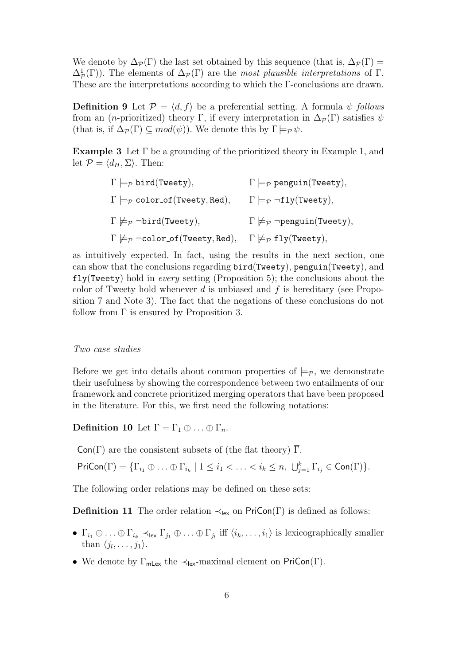We denote by  $\Delta_{\mathcal{P}}(\Gamma)$  the last set obtained by this sequence (that is,  $\Delta_{\mathcal{P}}(\Gamma)$  =  $\Delta^1_{\mathcal{P}}(\Gamma)$ . The elements of  $\Delta_{\mathcal{P}}(\Gamma)$  are the most plausible interpretations of  $\Gamma$ . These are the interpretations according to which the Γ-conclusions are drawn.

**Definition 9** Let  $\mathcal{P} = \langle d, f \rangle$  be a preferential setting. A formula  $\psi$  follows from an (*n*-prioritized) theory Γ, if every interpretation in  $\Delta_{\mathcal{P}}(\Gamma)$  satisfies  $\psi$ (that is, if  $\Delta_{\mathcal{P}}(\Gamma) \subseteq mod(\psi)$ ). We denote this by  $\Gamma \models_{\mathcal{P}} \psi$ .

**Example 3** Let  $\Gamma$  be a grounding of the prioritized theory in Example 1, and let  $\mathcal{P} = \langle d_H, \Sigma \rangle$ . Then:

| $\Gamma \models_{\mathcal{P}} \text{bird(Tweety)},$                                 | $\Gamma \models_{\mathcal{P}} \text{penguin(Tweety)},$            |
|-------------------------------------------------------------------------------------|-------------------------------------------------------------------|
| $\Gamma \models_{\mathcal{P}} \text{color_of}(\text{Tweety}, \text{Red}),$          | $\Gamma \models_{\mathcal{P}} \neg fly(Tweety),$                  |
| $\Gamma \not\models_{\mathcal{P}} \neg \text{bird}(\text{Tweety}),$                 | $\Gamma \not\models_{\mathcal{P}} \neg$ penguin(Tweety),          |
| $\Gamma \not\models_{\mathcal{P}} \neg \text{color_of}(\text{Tweety}, \text{Red}),$ | $\Gamma \not\models_{\mathcal{P}} \mathtt{fly}(\mathtt{Tweety}),$ |

as intuitively expected. In fact, using the results in the next section, one can show that the conclusions regarding bird(Tweety), penguin(Tweety), and  $fly(Tweety)$  hold in *every* setting (Proposition 5); the conclusions about the color of Tweety hold whenever d is unbiased and f is hereditary (see Proposition 7 and Note 3). The fact that the negations of these conclusions do not follow from  $\Gamma$  is ensured by Proposition 3.

## Two case studies

Before we get into details about common properties of  $\models_{\mathcal{P}}$ , we demonstrate their usefulness by showing the correspondence between two entailments of our framework and concrete prioritized merging operators that have been proposed in the literature. For this, we first need the following notations:

**Definition 10** Let  $\Gamma = \Gamma_1 \oplus \ldots \oplus \Gamma_n$ .

 $Con(\Gamma)$  are the consistent subsets of (the flat theory)  $\overline{\Gamma}$ .

 $\mathsf{PriCon}(\Gamma) = \{\Gamma_{i_1} \oplus \ldots \oplus \Gamma_{i_k} \mid 1 \leq i_1 < \ldots < i_k \leq n, \ \bigcup_{j=1}^k \Gamma_{i_j} \in \mathsf{Con}(\Gamma) \}.$ 

The following order relations may be defined on these sets:

**Definition 11** The order relation  $\prec_{\text{lex}}$  on PriCon(Γ) is defined as follows:

- $\Gamma_{i_1} \oplus \ldots \oplus \Gamma_{i_k} \prec_{\text{lex}} \Gamma_{j_1} \oplus \ldots \oplus \Gamma_{j_l}$  iff  $\langle i_k, \ldots, i_1 \rangle$  is lexicographically smaller than  $\langle j_1, \ldots, j_1 \rangle$ .
- We denote by  $\Gamma_{\text{mLex}}$  the  $\prec_{\text{lex}}$ -maximal element on PriCon(Γ).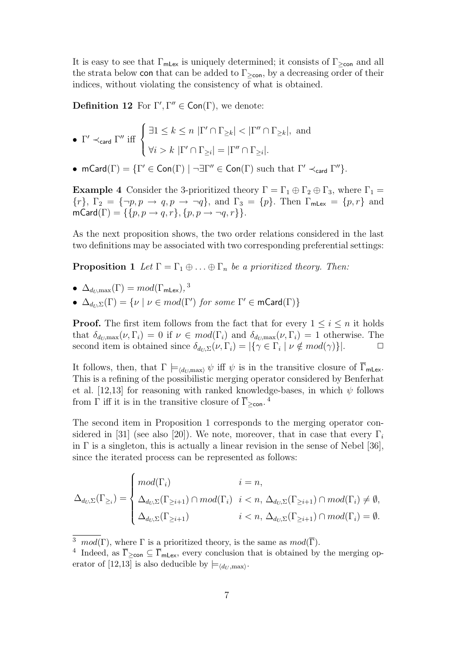It is easy to see that  $\Gamma_{\text{mLex}}$  is uniquely determined; it consists of  $\Gamma_{\geq \text{con}}$  and all the strata below con that can be added to  $\Gamma_{\geq \text{con}}$ , by a decreasing order of their indices, without violating the consistency of what is obtained.

**Definition 12** For  $\Gamma', \Gamma'' \in \text{Con}(\Gamma)$ , we denote:

\n- \n
$$
\mathbb{P}' \prec_{\mathsf{card}} \Gamma'' \text{ iff } \begin{cases}\n \exists 1 \leq k \leq n \, |\Gamma' \cap \Gamma_{\geq k}| < |\Gamma'' \cap \Gamma_{\geq k}|, \text{ and } \\
\forall i > k \, |\Gamma' \cap \Gamma_{\geq i}| = |\Gamma'' \cap \Gamma_{\geq i}|.\n \end{cases}
$$
\n
\n

• mCard( $\Gamma$ ) = { $\Gamma' \in \text{Con}(\Gamma) \mid \neg \exists \Gamma'' \in \text{Con}(\Gamma)$  such that  $\Gamma' \prec_{\text{card}} \Gamma''$  }.

**Example 4** Consider the 3-prioritized theory  $\Gamma = \Gamma_1 \oplus \Gamma_2 \oplus \Gamma_3$ , where  $\Gamma_1 =$  $\{r\}, \Gamma_2 = \{\neg p, p \rightarrow q, p \rightarrow \neg q\}, \text{ and } \Gamma_3 = \{p\}. \text{ Then } \Gamma_{\text{mLex}} = \{p, r\} \text{ and }$  $mCard(\Gamma) = \{\{p, p \rightarrow q, r\}, \{p, p \rightarrow \neg q, r\}\}.$ 

As the next proposition shows, the two order relations considered in the last two definitions may be associated with two corresponding preferential settings:

**Proposition 1** Let  $\Gamma = \Gamma_1 \oplus \ldots \oplus \Gamma_n$  be a prioritized theory. Then:

• 
$$
\Delta_{d_U, \max}(\Gamma) = mod(\Gamma_{\text{mLex}}), \, 3
$$

•  $\Delta_{d_U, \Sigma}(\Gamma) = \{ \nu \mid \nu \in mod(\Gamma') \text{ for some } \Gamma' \in \mathsf{mCard}(\Gamma) \}$ 

**Proof.** The first item follows from the fact that for every  $1 \leq i \leq n$  it holds that  $\delta_{d_U,\max}(\nu,\Gamma_i) = 0$  if  $\nu \in mod(\Gamma_i)$  and  $\delta_{d_U,\max}(\nu,\Gamma_i) = 1$  otherwise. The second item is obtained since  $\delta_{d_U, \Sigma}(\nu, \Gamma_i) = |\{ \gamma \in \Gamma_i \mid \nu \notin mod(\gamma) \}|.$ 

It follows, then, that  $\Gamma \models_{\langle d_U, \max \rangle} \psi$  iff  $\psi$  is in the transitive closure of  $\overline{\Gamma}_{\text{mLex}}$ . This is a refining of the possibilistic merging operator considered by Benferhat et al. [12,13] for reasoning with ranked knowledge-bases, in which  $\psi$  follows from  $\Gamma$  iff it is in the transitive closure of  $\overline{\Gamma}_{\geq \text{con}}$ .

The second item in Proposition 1 corresponds to the merging operator considered in [31] (see also [20]). We note, moreover, that in case that every  $\Gamma_i$ in  $\Gamma$  is a singleton, this is actually a linear revision in the sense of Nebel [36], since the iterated process can be represented as follows:

$$
\Delta_{d_U, \Sigma}(\Gamma_{\geq i}) = \begin{cases} mod(\Gamma_i) & i = n, \\ \Delta_{d_U, \Sigma}(\Gamma_{\geq i+1}) \cap mod(\Gamma_i) & i < n, \ \Delta_{d_U, \Sigma}(\Gamma_{\geq i+1}) \cap mod(\Gamma_i) \neq \emptyset, \\ \Delta_{d_U, \Sigma}(\Gamma_{\geq i+1}) & i < n, \ \Delta_{d_U, \Sigma}(\Gamma_{\geq i+1}) \cap mod(\Gamma_i) = \emptyset. \end{cases}
$$

<sup>&</sup>lt;sup>3</sup> mod(Γ), where  $\Gamma$  is a prioritized theory, is the same as  $mod(\overline{\Gamma})$ .

<sup>&</sup>lt;sup>4</sup> Indeed, as  $\overline{\Gamma}_{\geq \text{con}} \subseteq \overline{\Gamma}_{\text{mLex}}$ , every conclusion that is obtained by the merging operator of [12,13] is also deducible by  $\models_{\langle d_U, \text{max} \rangle}$ .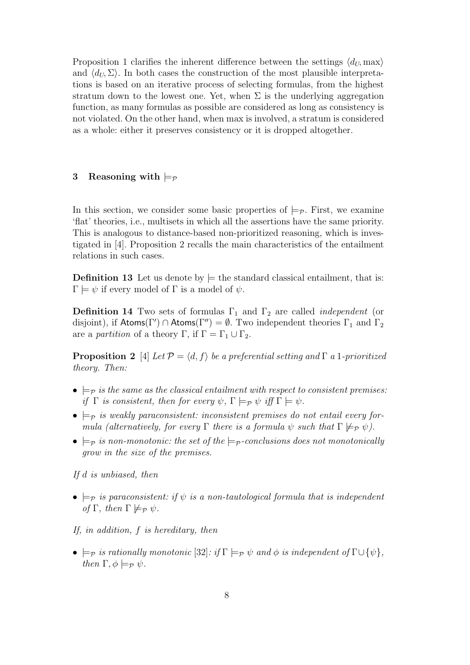Proposition 1 clarifies the inherent difference between the settings  $\langle d_U, \text{max} \rangle$ and  $\langle d_U, \Sigma \rangle$ . In both cases the construction of the most plausible interpretations is based on an iterative process of selecting formulas, from the highest stratum down to the lowest one. Yet, when  $\Sigma$  is the underlying aggregation function, as many formulas as possible are considered as long as consistency is not violated. On the other hand, when max is involved, a stratum is considered as a whole: either it preserves consistency or it is dropped altogether.

# 3 Reasoning with  $\models_{\mathcal{P}}$

In this section, we consider some basic properties of  $\models_{\mathcal{P}}$ . First, we examine 'flat' theories, i.e., multisets in which all the assertions have the same priority. This is analogous to distance-based non-prioritized reasoning, which is investigated in [4]. Proposition 2 recalls the main characteristics of the entailment relations in such cases.

**Definition 13** Let us denote by  $\models$  the standard classical entailment, that is:  $\Gamma \models \psi$  if every model of  $\Gamma$  is a model of  $\psi$ .

**Definition 14** Two sets of formulas  $\Gamma_1$  and  $\Gamma_2$  are called *independent* (or disjoint), if  $\text{Atoms}(\Gamma') \cap \text{Atoms}(\Gamma'') = \emptyset$ . Two independent theories  $\Gamma_1$  and  $\Gamma_2$ are a partition of a theory Γ, if  $\Gamma = \Gamma_1 \cup \Gamma_2$ .

**Proposition 2** [4] Let  $\mathcal{P} = \langle d, f \rangle$  be a preferential setting and  $\Gamma$  a 1-prioritized theory. Then:

- $\models_{\mathcal{P}}$  is the same as the classical entailment with respect to consistent premises: if  $\Gamma$  is consistent, then for every  $\psi$ ,  $\Gamma \models_{\mathcal{P}} \psi$  iff  $\Gamma \models \psi$ .
- $\models_{\mathcal{P}}$  is weakly paraconsistent: inconsistent premises do not entail every formula (alternatively, for every  $\Gamma$  there is a formula  $\psi$  such that  $\Gamma \not\models_{\mathcal{P}} \psi$ ).
- $\Rightarrow$   $\Rightarrow$  is non-monotonic: the set of the  $\Rightarrow$ -conclusions does not monotonically grow in the size of the premises.

If d is unbiased, then

•  $\models_{\mathcal{P}}$  is paraconsistent: if  $\psi$  is a non-tautological formula that is independent of  $\Gamma$ , then  $\Gamma \not\models_{\mathcal{P}} \psi$ .

If, in addition, f is hereditary, then

•  $\models_{\mathcal{P}}$  is rationally monotonic  $[32]$ : if  $\Gamma \models_{\mathcal{P}} \psi$  and  $\phi$  is independent of  $\Gamma \cup {\psi}$ , then  $\Gamma, \phi \models_{\mathcal{P}} \psi$ .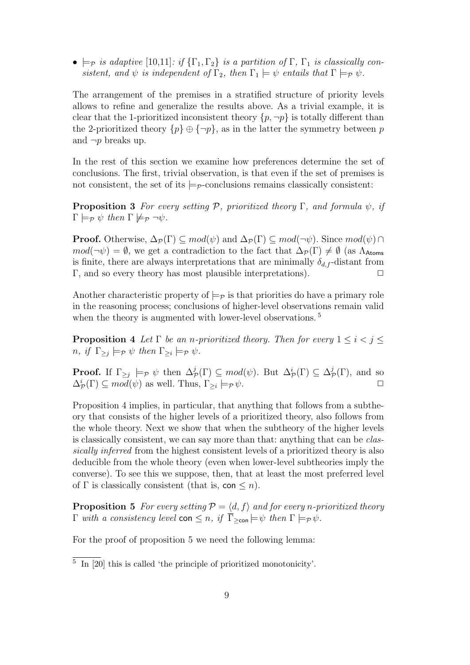•  $\models p$  is adaptive  $[10,11]$ : if  $\{\Gamma_1,\Gamma_2\}$  is a partition of  $\Gamma$ ,  $\Gamma_1$  is classically consistent, and  $\psi$  is independent of  $\Gamma_2$ , then  $\Gamma_1 \models \psi$  entails that  $\Gamma \models_{\mathcal{P}} \psi$ .

The arrangement of the premises in a stratified structure of priority levels allows to refine and generalize the results above. As a trivial example, it is clear that the 1-prioritized inconsistent theory  $\{p, \neg p\}$  is totally different than the 2-prioritized theory  $\{p\} \oplus \{\neg p\}$ , as in the latter the symmetry between p and  $\neg p$  breaks up.

In the rest of this section we examine how preferences determine the set of conclusions. The first, trivial observation, is that even if the set of premises is not consistent, the set of its  $\models_{\mathcal{P}}$ -conclusions remains classically consistent:

**Proposition 3** For every setting P, prioritized theory Γ, and formula  $\psi$ , if  $\Gamma \models_{\mathcal{P}} \psi$  then  $\Gamma \not\models_{\mathcal{P}} \neg \psi$ .

**Proof.** Otherwise,  $\Delta_{\mathcal{P}}(\Gamma) \subseteq mod(\psi)$  and  $\Delta_{\mathcal{P}}(\Gamma) \subseteq mod(\neg \psi)$ . Since  $mod(\psi) \cap$  $mod(\neg \psi) = \emptyset$ , we get a contradiction to the fact that  $\Delta_{\mathcal{P}}(\Gamma) \neq \emptyset$  (as  $\Lambda_{\text{Atoms}}$ ) is finite, there are always interpretations that are minimally  $\delta_{d,f}$ -distant from Γ, and so every theory has most plausible interpretations).  $\Box$ 

Another characteristic property of  $\models_{\mathcal{P}}$  is that priorities do have a primary role in the reasoning process; conclusions of higher-level observations remain valid when the theory is augmented with lower-level observations.<sup>5</sup>

**Proposition 4** Let  $\Gamma$  be an n-prioritized theory. Then for every  $1 \leq i < j \leq$  $n, if \Gamma_{\geq j} \models_{\mathcal{P}} \psi then \Gamma_{\geq i} \models_{\mathcal{P}} \psi.$ 

**Proof.** If  $\Gamma_{\geq j} \models_{\mathcal{P}} \psi$  then  $\Delta_{\mathcal{P}}^j(\Gamma) \subseteq mod(\psi)$ . But  $\Delta_{\mathcal{P}}^i(\Gamma) \subseteq \Delta_{\mathcal{P}}^j(\Gamma)$ , and so  $\Delta^i_{\mathcal{P}}(\Gamma) \subseteq mod(\psi)$  as well. Thus,  $\Gamma_{\geq i}$  $\models_{\mathcal{P}} \psi.$ 

Proposition 4 implies, in particular, that anything that follows from a subtheory that consists of the higher levels of a prioritized theory, also follows from the whole theory. Next we show that when the subtheory of the higher levels is classically consistent, we can say more than that: anything that can be classically inferred from the highest consistent levels of a prioritized theory is also deducible from the whole theory (even when lower-level subtheories imply the converse). To see this we suppose, then, that at least the most preferred level of  $\Gamma$  is classically consistent (that is, con  $\leq n$ ).

**Proposition 5** For every setting  $P = \langle d, f \rangle$  and for every n-prioritized theory  $\Gamma$  with a consistency level con  $\leq n$ , if  $\overline{\Gamma}_{\geq \text{con}} \models \psi$  then  $\Gamma \models_{\mathcal{P}} \psi$ .

For the proof of proposition 5 we need the following lemma:

<sup>5</sup> In [20] this is called 'the principle of prioritized monotonicity'.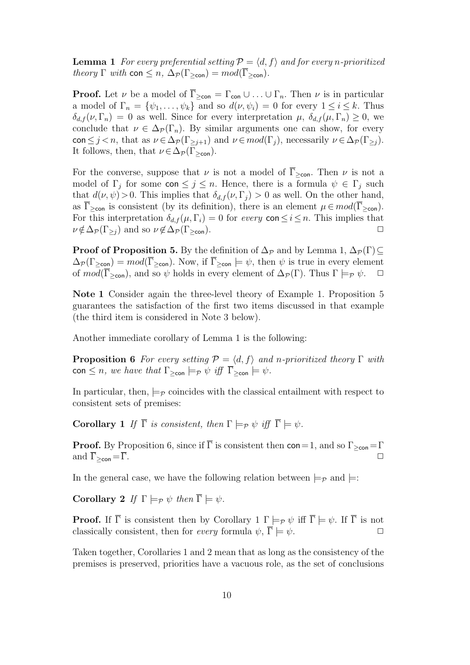**Lemma 1** For every preferential setting  $P = \langle d, f \rangle$  and for every n-prioritized theory  $\Gamma$  with con  $\leq n$ ,  $\Delta_{\mathcal{P}}(\Gamma_{\geq \text{con}}) = mod(\overline{\Gamma}_{\geq \text{con}})$ .

**Proof.** Let  $\nu$  be a model of  $\overline{\Gamma}_{\geq \text{con}} = \Gamma_{\text{con}} \cup ... \cup \Gamma_n$ . Then  $\nu$  is in particular a model of  $\Gamma_n = \{ \psi_1, \ldots, \psi_k \}$  and so  $d(\nu, \psi_i) = 0$  for every  $1 \leq i \leq k$ . Thus  $\delta_{d,f}(\nu,\Gamma_n) = 0$  as well. Since for every interpretation  $\mu$ ,  $\delta_{d,f}(\mu,\Gamma_n) \geq 0$ , we conclude that  $\nu \in \Delta_{\mathcal{P}}(\Gamma_n)$ . By similar arguments one can show, for every con  $\leq j$  < n, that as  $\nu \in \Delta_{\mathcal{P}}(\Gamma_{\geq j+1})$  and  $\nu \in mod(\Gamma_j)$ , necessarily  $\nu \in \Delta_{\mathcal{P}}(\Gamma_{\geq j})$ . It follows, then, that  $\nu \in \Delta_{\mathcal{P}}(\Gamma_{\geq \text{con}})$ .

For the converse, suppose that  $\nu$  is not a model of  $\overline{\Gamma}_{\geq \text{con}}$ . Then  $\nu$  is not a model of  $\Gamma_j$  for some con  $\leq j \leq n$ . Hence, there is a formula  $\psi \in \Gamma_j$  such that  $d(\nu, \psi) > 0$ . This implies that  $\delta_{d,f}(\nu, \Gamma_i) > 0$  as well. On the other hand, as  $\overline{\Gamma}_{\geq \text{con}}$  is consistent (by its definition), there is an element  $\mu \in mod(\overline{\Gamma}_{\geq \text{con}})$ . For this interpretation  $\delta_{d,f}(\mu,\Gamma_i)=0$  for every con  $\leq i\leq n$ . This implies that  $\nu \notin \Delta_{\mathcal{P}}(\Gamma_{\geq i})$  and so  $\nu \notin \Delta_{\mathcal{P}}(\Gamma_{\geq \text{con}})$ .

**Proof of Proposition 5.** By the definition of  $\Delta_{\mathcal{P}}$  and by Lemma 1,  $\Delta_{\mathcal{P}}(\Gamma) \subset$  $\Delta_{\mathcal{P}}(\Gamma_{\geq \text{con}}) = mod(\overline{\Gamma}_{\geq \text{con}})$ . Now, if  $\overline{\Gamma}_{\geq \text{con}} \models \psi$ , then  $\psi$  is true in every element of  $mod(\overline{\Gamma}_{\geq con})$ , and so  $\psi$  holds in every element of  $\Delta_{\mathcal{P}}(\Gamma)$ . Thus  $\Gamma \models_{\mathcal{P}} \psi$ .  $\Box$ 

Note 1 Consider again the three-level theory of Example 1. Proposition 5 guarantees the satisfaction of the first two items discussed in that example (the third item is considered in Note 3 below).

Another immediate corollary of Lemma 1 is the following:

**Proposition 6** For every setting  $P = \langle d, f \rangle$  and n-prioritized theory Γ with con  $\leq n$ , we have that  $\Gamma_{\geq \text{con}} \models_{\mathcal{P}} \psi$  iff  $\overline{\Gamma}_{\geq \text{con}} \models \psi$ .

In particular, then,  $\models_{\mathcal{P}}$  coincides with the classical entailment with respect to consistent sets of premises:

**Corollary 1** If  $\overline{\Gamma}$  is consistent, then  $\Gamma \models_{\mathcal{P}} \psi$  iff  $\overline{\Gamma} \models \psi$ .

**Proof.** By Proposition 6, since if  $\overline{\Gamma}$  is consistent then con=1, and so  $\Gamma_{\geq \text{con}} = \Gamma$ and  $\overline{\Gamma}_{\geq \text{con}} = \overline{\Gamma}$ .

In the general case, we have the following relation between  $\models_{\mathcal{P}}$  and  $\models$ :

Corollary 2 If  $\Gamma \models_{\mathcal{P}} \psi$  then  $\overline{\Gamma} \models \psi$ .

**Proof.** If  $\overline{\Gamma}$  is consistent then by Corollary 1  $\Gamma \models_{\mathcal{P}} \psi$  iff  $\overline{\Gamma} \models \psi$ . If  $\overline{\Gamma}$  is not classically consistent, then for *every* formula  $\psi$ ,  $\overline{\Gamma} \models \psi$ .

Taken together, Corollaries 1 and 2 mean that as long as the consistency of the premises is preserved, priorities have a vacuous role, as the set of conclusions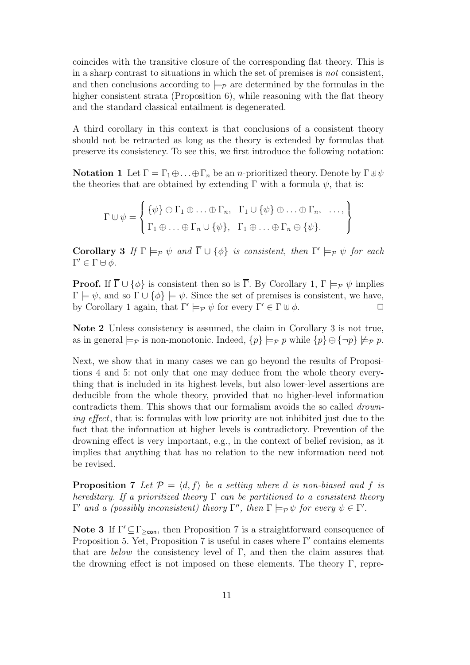coincides with the transitive closure of the corresponding flat theory. This is in a sharp contrast to situations in which the set of premises is not consistent, and then conclusions according to  $\models_{\mathcal{P}}$  are determined by the formulas in the higher consistent strata (Proposition  $6$ ), while reasoning with the flat theory and the standard classical entailment is degenerated.

A third corollary in this context is that conclusions of a consistent theory should not be retracted as long as the theory is extended by formulas that preserve its consistency. To see this, we first introduce the following notation:

**Notation 1** Let  $\Gamma = \Gamma_1 \oplus \ldots \oplus \Gamma_n$  be an *n*-prioritized theory. Denote by  $\Gamma \oplus \psi$ the theories that are obtained by extending  $\Gamma$  with a formula  $\psi$ , that is:

$$
\Gamma \uplus \psi = \left\{ \begin{aligned} & \{\psi\} \oplus \Gamma_1 \oplus \ldots \oplus \Gamma_n, & \Gamma_1 \cup \{\psi\} \oplus \ldots \oplus \Gamma_n, & \ldots, \\ & \Gamma_1 \oplus \ldots \oplus \Gamma_n \cup \{\psi\}, & \Gamma_1 \oplus \ldots \oplus \Gamma_n \oplus \{\psi\}. \end{aligned} \right\}
$$

**Corollary 3** If  $\Gamma \models_{\mathcal{P}} \psi$  and  $\overline{\Gamma} \cup \{\phi\}$  is consistent, then  $\Gamma' \models_{\mathcal{P}} \psi$  for each  $\Gamma' \in \Gamma \uplus \phi.$ 

**Proof.** If  $\overline{\Gamma} \cup \{\phi\}$  is consistent then so is  $\overline{\Gamma}$ . By Corollary 1,  $\Gamma \models_{\mathcal{P}} \psi$  implies  $\Gamma \models \psi$ , and so  $\Gamma \cup {\phi} \models \psi$ . Since the set of premises is consistent, we have, by Corollary 1 again, that  $\Gamma' \models_{\mathcal{P}} \psi$  for every  $\Gamma' \in \Gamma \uplus \phi$ .

Note 2 Unless consistency is assumed, the claim in Corollary 3 is not true, as in general  $\models_{\mathcal{P}}$  is non-monotonic. Indeed,  $\{p\} \models_{\mathcal{P}} p$  while  $\{p\} \oplus \{\neg p\} \not\models_{\mathcal{P}} p$ .

Next, we show that in many cases we can go beyond the results of Propositions 4 and 5: not only that one may deduce from the whole theory everything that is included in its highest levels, but also lower-level assertions are deducible from the whole theory, provided that no higher-level information contradicts them. This shows that our formalism avoids the so called *drown*ing effect, that is: formulas with low priority are not inhibited just due to the fact that the information at higher levels is contradictory. Prevention of the drowning effect is very important, e.g., in the context of belief revision, as it implies that anything that has no relation to the new information need not be revised.

**Proposition 7** Let  $P = \langle d, f \rangle$  be a setting where d is non-biased and f is hereditary. If a prioritized theory  $\Gamma$  can be partitioned to a consistent theory  $Γ'$  and a (possibly inconsistent) theory Γ'', then  $Γ \models_{\mathcal{P}} \psi$  for every  $\psi \in Γ'.$ 

Note 3 If  $\Gamma' \subseteq \Gamma_{\geq con}$ , then Proposition 7 is a straightforward consequence of Proposition 5. Yet, Proposition 7 is useful in cases where  $\Gamma'$  contains elements that are below the consistency level of  $\Gamma$ , and then the claim assures that the drowning effect is not imposed on these elements. The theory Γ, repre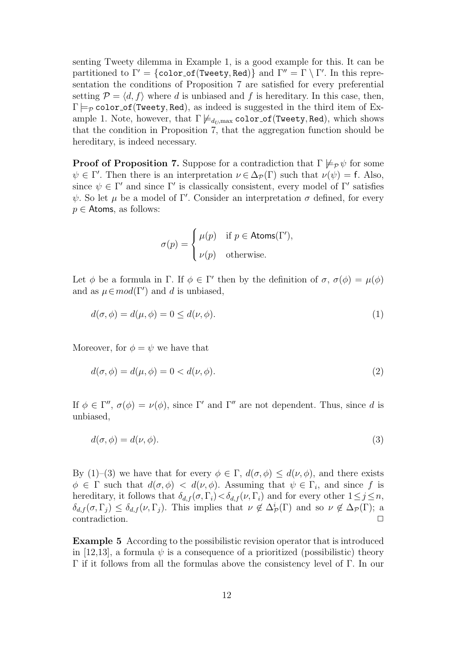senting Tweety dilemma in Example 1, is a good example for this. It can be partitioned to  $\Gamma' = \{\texttt{color_of}(\texttt{Twenty}, \texttt{Red})\}$  and  $\Gamma'' = \Gamma \setminus \Gamma'.$  In this representation the conditions of Proposition 7 are satisfied for every preferential setting  $\mathcal{P} = \langle d, f \rangle$  where d is unbiased and f is hereditary. In this case, then,  $\Gamma \models_{\mathcal{P}} \text{color-of(Tweety,Red)}$ , as indeed is suggested in the third item of Example 1. Note, however, that  $\Gamma \not\models_{d_U,\max} \mathtt{color\_of}(\mathtt{Tweety}, \mathtt{Red})$ , which shows that the condition in Proposition 7, that the aggregation function should be hereditary, is indeed necessary.

**Proof of Proposition 7.** Suppose for a contradiction that  $\Gamma \not\models_{\mathcal{P}} \psi$  for some  $\psi \in \Gamma'$ . Then there is an interpretation  $\nu \in \Delta_{\mathcal{P}}(\Gamma)$  such that  $\nu(\psi) = f$ . Also, since  $\psi \in \Gamma'$  and since  $\Gamma'$  is classically consistent, every model of  $\Gamma'$  satisfies  $ψ$ . So let  $μ$  be a model of Γ'. Consider an interpretation  $σ$  defined, for every  $p \in$  Atoms, as follows:

$$
\sigma(p) = \begin{cases} \mu(p) & \text{if } p \in \text{Atoms}(\Gamma'), \\ \nu(p) & \text{otherwise.} \end{cases}
$$

Let  $\phi$  be a formula in Γ. If  $\phi \in \Gamma'$  then by the definition of  $\sigma$ ,  $\sigma(\phi) = \mu(\phi)$ and as  $\mu \in mod(\Gamma')$  and d is unbiased,

$$
d(\sigma, \phi) = d(\mu, \phi) = 0 \le d(\nu, \phi). \tag{1}
$$

Moreover, for  $\phi = \psi$  we have that

$$
d(\sigma, \phi) = d(\mu, \phi) = 0 < d(\nu, \phi). \tag{2}
$$

If  $\phi \in \Gamma''$ ,  $\sigma(\phi) = \nu(\phi)$ , since  $\Gamma'$  and  $\Gamma''$  are not dependent. Thus, since d is unbiased,

$$
d(\sigma, \phi) = d(\nu, \phi). \tag{3}
$$

By (1)–(3) we have that for every  $\phi \in \Gamma$ ,  $d(\sigma, \phi) \leq d(\nu, \phi)$ , and there exists  $\phi \in \Gamma$  such that  $d(\sigma, \phi) < d(\nu, \phi)$ . Assuming that  $\psi \in \Gamma_i$ , and since f is hereditary, it follows that  $\delta_{d,f}(\sigma,\Gamma_i) < \delta_{d,f}(\nu,\Gamma_i)$  and for every other  $1 \leq j \leq n$ ,  $\delta_{d,f}(\sigma,\Gamma_j) \leq \delta_{d,f}(\nu,\Gamma_j)$ . This implies that  $\nu \notin \Delta^i_{\mathcal{P}}(\Gamma)$  and so  $\nu \notin \Delta_{\mathcal{P}}(\Gamma)$ ; a contradiction.

Example 5 According to the possibilistic revision operator that is introduced in [12,13], a formula  $\psi$  is a consequence of a prioritized (possibilistic) theory Γ if it follows from all the formulas above the consistency level of Γ. In our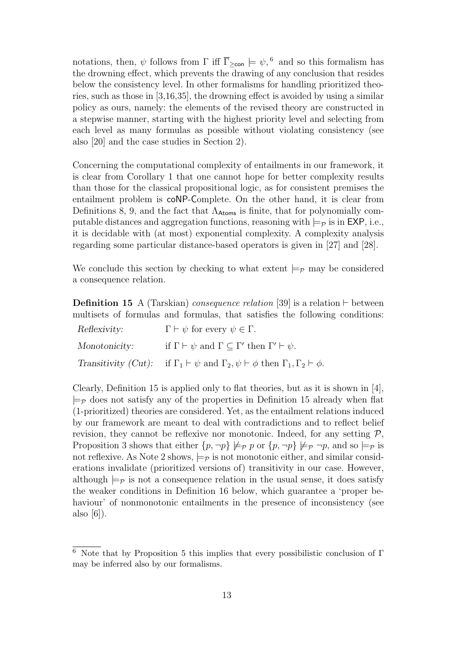notations, then,  $\psi$  follows from  $\Gamma$  iff  $\overline{\Gamma}_{\geq \text{con}} \models \psi$ , <sup>6</sup> and so this formalism has the drowning effect, which prevents the drawing of any conclusion that resides below the consistency level. In other formalisms for handling prioritized theories, such as those in [3,16,35], the drowning effect is avoided by using a similar policy as ours, namely: the elements of the revised theory are constructed in a stepwise manner, starting with the highest priority level and selecting from each level as many formulas as possible without violating consistency (see also [20] and the case studies in Section 2).

Concerning the computational complexity of entailments in our framework, it is clear from Corollary 1 that one cannot hope for better complexity results than those for the classical propositional logic, as for consistent premises the entailment problem is coNP-Complete. On the other hand, it is clear from Definitions 8, 9, and the fact that  $\Lambda_{\text{Atoms}}$  is finite, that for polynomially computable distances and aggregation functions, reasoning with  $\models p$  is in EXP, i.e., it is decidable with (at most) exponential complexity. A complexity analysis regarding some particular distance-based operators is given in [27] and [28].

We conclude this section by checking to what extent  $\models_{\mathcal{P}}$  may be considered a consequence relation.

**Definition 15** A (Tarskian) *consequence relation* [39] is a relation  $\vdash$  between multisets of formulas and formulas, that satisfies the following conditions:

| Reflexivity:  | $\Gamma \vdash \psi$ for every $\psi \in \Gamma$ .                                                                     |
|---------------|------------------------------------------------------------------------------------------------------------------------|
| Monotonicity: | if $\Gamma \vdash \psi$ and $\Gamma \subseteq \Gamma'$ then $\Gamma' \vdash \psi$ .                                    |
|               | Transitivity (Cut): if $\Gamma_1 \vdash \psi$ and $\Gamma_2, \psi \vdash \phi$ then $\Gamma_1, \Gamma_2 \vdash \phi$ . |

Clearly, Definition 15 is applied only to flat theories, but as it is shown in [4],  $\models_{\mathcal{P}}$  does not satisfy any of the properties in Definition 15 already when flat (1-prioritized) theories are considered. Yet, as the entailment relations induced by our framework are meant to deal with contradictions and to reflect belief revision, they cannot be reflexive nor monotonic. Indeed, for any setting  $\mathcal{P}$ , Proposition 3 shows that either  $\{p, \neg p\} \not\models_{\mathcal{P}} p$  or  $\{p, \neg p\} \not\models_{\mathcal{P}} \neg p$ , and so  $\models_{\mathcal{P}}$  is not reflexive. As Note 2 shows,  $\models_{\mathcal{P}}$  is not monotonic either, and similar considerations invalidate (prioritized versions of) transitivity in our case. However, although  $\models_{\mathcal{P}}$  is not a consequence relation in the usual sense, it does satisfy the weaker conditions in Definition 16 below, which guarantee a 'proper behaviour' of nonmonotonic entailments in the presence of inconsistency (see also [6]).

 $\overline{6}$  Note that by Proposition 5 this implies that every possibilistic conclusion of Γ may be inferred also by our formalisms.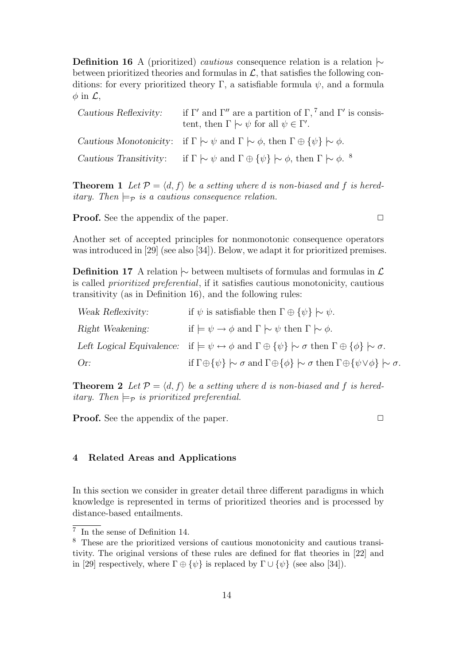**Definition 16** A (prioritized) *cautious* consequence relation is a relation  $\sim$ between prioritized theories and formulas in  $\mathcal{L}$ , that satisfies the following conditions: for every prioritized theory Γ, a satisfiable formula  $\psi$ , and a formula  $\phi$  in  $\mathcal{L}$ ,

| Cautious Reflexivity: | if $\Gamma'$ and $\Gamma''$ are a partition of $\Gamma$ , <sup>7</sup> and $\Gamma'$ is consis-<br>tent, then $\Gamma \sim \psi$ for all $\psi \in \Gamma'$ . |
|-----------------------|---------------------------------------------------------------------------------------------------------------------------------------------------------------|
|                       | Cautious Monotonicity: if $\Gamma \sim \psi$ and $\Gamma \sim \phi$ , then $\Gamma \oplus {\psi} \sim \phi$ .                                                 |
|                       | Cautious Transitivity: if $\Gamma \sim \psi$ and $\Gamma \oplus {\psi} \sim \phi$ , then $\Gamma \sim \phi$ . <sup>8</sup>                                    |

**Theorem 1** Let  $\mathcal{P} = \langle d, f \rangle$  be a setting where d is non-biased and f is hereditary. Then  $\models_{\mathcal{P}}$  is a cautious consequence relation.

**Proof.** See the appendix of the paper.  $\Box$ 

Another set of accepted principles for nonmonotonic consequence operators was introduced in [29] (see also [34]). Below, we adapt it for prioritized premises.

**Definition 17** A relation  $\sim$  between multisets of formulas and formulas in  $\mathcal{L}$ is called prioritized preferential, if it satisfies cautious monotonicity, cautious transitivity (as in Definition 16), and the following rules:

| Weak Reflexivity: | if $\psi$ is satisfiable then $\Gamma \oplus {\psi} \sim \psi$ .                                                                                  |
|-------------------|---------------------------------------------------------------------------------------------------------------------------------------------------|
| Right Weakening:  | if $\models \psi \rightarrow \phi$ and $\Gamma \sim \psi$ then $\Gamma \sim \phi$ .                                                               |
|                   | Left Logical Equivalence: if $\models \psi \leftrightarrow \phi$ and $\Gamma \oplus {\psi} \sim \sigma$ then $\Gamma \oplus {\phi} \sim \sigma$ . |
| Or:               | if $\Gamma \oplus {\psi} \sim \sigma$ and $\Gamma \oplus {\phi} \sim \sigma$ then $\Gamma \oplus {\psi \vee \phi} \sim \sigma$ .                  |

**Theorem 2** Let  $\mathcal{P} = \langle d, f \rangle$  be a setting where d is non-biased and f is hereditary. Then  $\models_{\mathcal{P}}$  is prioritized preferential.

**Proof.** See the appendix of the paper. □

# 4 Related Areas and Applications

In this section we consider in greater detail three different paradigms in which knowledge is represented in terms of prioritized theories and is processed by distance-based entailments.

<sup>7</sup> In the sense of Definition 14.

<sup>8</sup> These are the prioritized versions of cautious monotonicity and cautious transitivity. The original versions of these rules are defined for flat theories in [22] and in [29] respectively, where  $\Gamma \oplus {\psi}$  is replaced by  $\Gamma \cup {\psi}$  (see also [34]).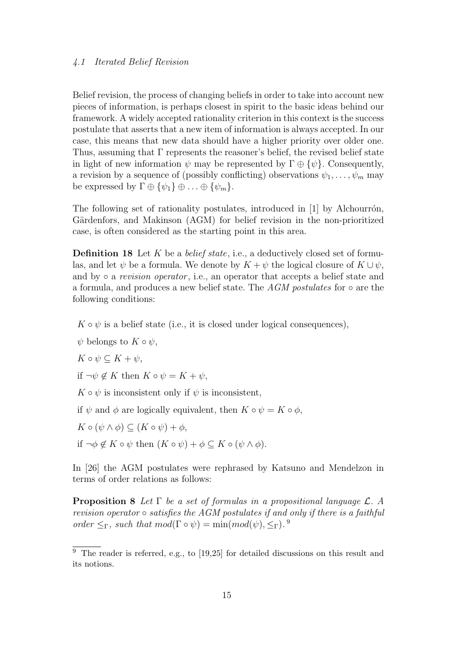## 4.1 Iterated Belief Revision

Belief revision, the process of changing beliefs in order to take into account new pieces of information, is perhaps closest in spirit to the basic ideas behind our framework. A widely accepted rationality criterion in this context is the success postulate that asserts that a new item of information is always accepted. In our case, this means that new data should have a higher priority over older one. Thus, assuming that Γ represents the reasoner's belief, the revised belief state in light of new information  $\psi$  may be represented by  $\Gamma \oplus {\psi}$ . Consequently, a revision by a sequence of (possibly conflicting) observations  $\psi_1, \ldots, \psi_m$  may be expressed by  $\Gamma \oplus {\psi_1} \oplus ... \oplus {\psi_m}$ .

The following set of rationality postulates, introduced in  $[1]$  by Alchourrón, Gärdenfors, and Makinson (AGM) for belief revision in the non-prioritized case, is often considered as the starting point in this area.

**Definition 18** Let K be a *belief state*, i.e., a deductively closed set of formulas, and let  $\psi$  be a formula. We denote by  $K + \psi$  the logical closure of  $K \cup \psi$ , and by  $\circ$  a revision operator, i.e., an operator that accepts a belief state and a formula, and produces a new belief state. The AGM postulates for  $\circ$  are the following conditions:

 $K \circ \psi$  is a belief state (i.e., it is closed under logical consequences),

- $\psi$  belongs to  $K \circ \psi$ ,
- $K \circ \psi \subseteq K + \psi$ ,

if  $\neg \psi \notin K$  then  $K \circ \psi = K + \psi$ ,

 $K \circ \psi$  is inconsistent only if  $\psi$  is inconsistent,

if  $\psi$  and  $\phi$  are logically equivalent, then  $K \circ \psi = K \circ \phi$ ,

 $K \circ (\psi \wedge \phi) \subseteq (K \circ \psi) + \phi,$ 

if  $\neg \phi \notin K \circ \psi$  then  $(K \circ \psi) + \phi \subseteq K \circ (\psi \wedge \phi)$ .

In [26] the AGM postulates were rephrased by Katsuno and Mendelzon in terms of order relations as follows:

**Proposition 8** Let  $\Gamma$  be a set of formulas in a propositional language  $\mathcal{L}$ . A revision operator  $\circ$  satisfies the AGM postulates if and only if there is a faithful order  $\leq_{\Gamma}$ , such that  $mod(\Gamma \circ \psi) = \min(mod(\psi), \leq_{\Gamma})$ .<sup>9</sup>

 $9$  The reader is referred, e.g., to [19,25] for detailed discussions on this result and its notions.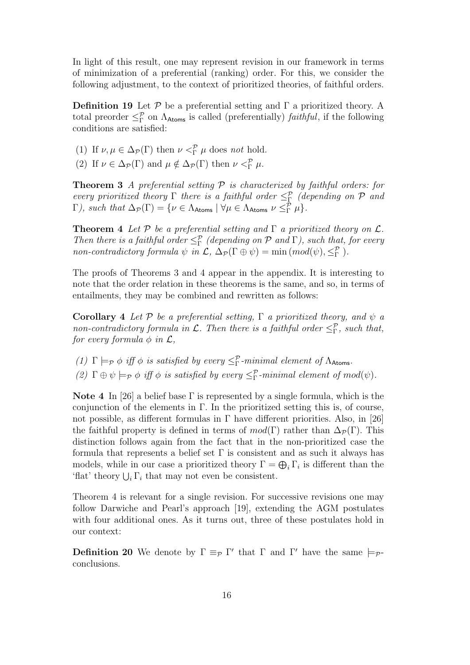In light of this result, one may represent revision in our framework in terms of minimization of a preferential (ranking) order. For this, we consider the following adjustment, to the context of prioritized theories, of faithful orders.

**Definition 19** Let  $\mathcal{P}$  be a preferential setting and  $\Gamma$  a prioritized theory. A total preorder  $\leq^{\mathcal{P}}_{\Gamma}$  on  $\Lambda_{\text{Atoms}}$  is called (preferentially) *faithful*, if the following conditions are satisfied:

(1) If  $\nu, \mu \in \Delta_{\mathcal{P}}(\Gamma)$  then  $\nu <sup>\mathcal{P}</sup><sub>\Gamma</sub> \mu$  does not hold.

(2) If  $\nu \in \Delta_{\mathcal{P}}(\Gamma)$  and  $\mu \notin \Delta_{\mathcal{P}}(\Gamma)$  then  $\nu <^{\mathcal{P}}_{\Gamma} \mu$ .

**Theorem 3** A preferential setting  $P$  is characterized by faithful orders: for every prioritized theory  $\Gamma$  there is a faithful order  $\leq^{\mathcal{P}}_{\Gamma}$  (depending on  $\mathcal P$  and  $\Gamma$ ), such that  $\Delta_{\mathcal{P}}(\Gamma) = \{ \nu \in \Lambda_{\text{Atoms}} \mid \forall \mu \in \Lambda_{\text{Atoms}} \nu \leq^{\mathcal{P}}_{\Gamma} \mu \}.$ 

**Theorem 4** Let  $P$  be a preferential setting and  $\Gamma$  a prioritized theory on  $\mathcal{L}$ . Then there is a faithful order  $\leq^{\mathcal{P}}_{\Gamma}$  (depending on  $\mathcal P$  and  $\Gamma$ ), such that, for every non-contradictory formula  $\psi$  in  $\mathcal{L}, \Delta_{\mathcal{P}}(\Gamma \oplus \psi) = \min \left( mod(\psi), \leq^{\mathcal{P}}_{\Gamma} \right)$ .

The proofs of Theorems 3 and 4 appear in the appendix. It is interesting to note that the order relation in these theorems is the same, and so, in terms of entailments, they may be combined and rewritten as follows:

Corollary 4 Let P be a preferential setting,  $\Gamma$  a prioritized theory, and  $\psi$  a non-contradictory formula in  $\mathcal{L}$ . Then there is a faithful order  $\leq^{\mathcal{P}}_{\Gamma}$ , such that, for every formula  $\phi$  in  $\mathcal{L},$ 

(1)  $\Gamma \models_{\mathcal{P}} \phi$  iff  $\phi$  is satisfied by every  $\leq^{\mathcal{P}}_{\Gamma}$ -minimal element of  $\Lambda_{\text{Atoms}}$ .

(2)  $\Gamma \oplus \psi \models_{\mathcal{P}} \phi$  if  $\phi$  is satisfied by every  $\leq^{\mathcal{P}}_{\Gamma}$ -minimal element of mod( $\psi$ ).

Note 4 In [26] a belief base  $\Gamma$  is represented by a single formula, which is the conjunction of the elements in Γ. In the prioritized setting this is, of course, not possible, as different formulas in  $\Gamma$  have different priorities. Also, in [26] the faithful property is defined in terms of  $mod(\Gamma)$  rather than  $\Delta_{\mathcal{P}}(\Gamma)$ . This distinction follows again from the fact that in the non-prioritized case the formula that represents a belief set  $\Gamma$  is consistent and as such it always has models, while in our case a prioritized theory  $\Gamma = \bigoplus_i \Gamma_i$  is different than the 'flat' theory  $\bigcup_i \Gamma_i$  that may not even be consistent.

Theorem 4 is relevant for a single revision. For successive revisions one may follow Darwiche and Pearl's approach [19], extending the AGM postulates with four additional ones. As it turns out, three of these postulates hold in our context:

**Definition 20** We denote by  $\Gamma \equiv_{\mathcal{P}} \Gamma'$  that  $\Gamma$  and  $\Gamma'$  have the same  $\models_{\mathcal{P}} \Gamma'$ conclusions.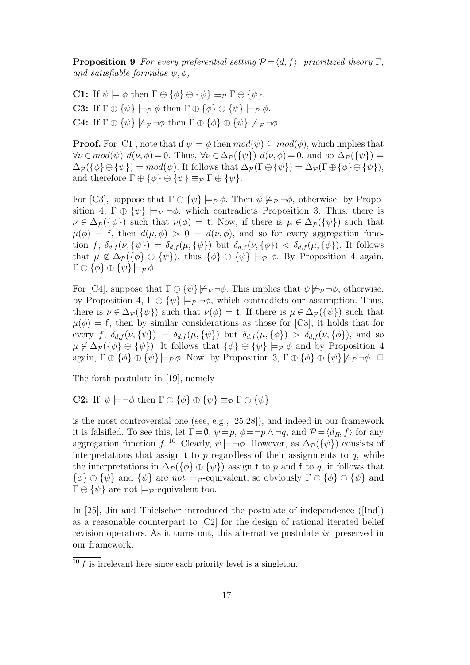**Proposition 9** For every preferential setting  $P = \langle d, f \rangle$ , prioritized theory Γ, and satisfiable formulas  $\psi, \phi$ ,

C1: If  $\psi \models \phi$  then  $\Gamma \oplus {\phi} \{ \phi \} \oplus {\psi} =_{\mathcal{P}} \Gamma \oplus {\psi}.$ **C3:** If  $\Gamma \oplus {\psi} \models_{\mathcal{P}} \phi$  then  $\Gamma \oplus {\phi} \{ \phi \} \oplus {\psi} \models_{\mathcal{P}} \phi$ . **C4:** If  $\Gamma \oplus {\psi} \not\models_{\mathcal{P}} \neg \phi$  then  $\Gamma \oplus {\phi} \otimes {\psi} \not\models_{\mathcal{P}} \neg \phi$ .

**Proof.** For [C1], note that if  $\psi \models \phi$  then  $mod(\psi) \subseteq mod(\phi)$ , which implies that  $\forall \nu \in mod(\psi) \ d(\nu, \phi) = 0$ . Thus,  $\forall \nu \in \Delta_{\mathcal{P}}(\{\psi\}) \ d(\nu, \phi) = 0$ , and so  $\Delta_{\mathcal{P}}(\{\psi\}) =$  $\Delta_{\mathcal{P}}(\{\phi\}\oplus\{\psi\})=mod(\psi)$ . It follows that  $\Delta_{\mathcal{P}}(\Gamma\oplus\{\psi\})=\Delta_{\mathcal{P}}(\Gamma\oplus\{\phi\}\oplus\{\psi\}),$ and therefore  $\Gamma \oplus {\phi} \oplus {\psi} \equiv_{\mathcal{P}} \Gamma \oplus {\psi}.$ 

For [C3], suppose that  $\Gamma \oplus {\psi} \models_{\mathcal{P}} \phi$ . Then  $\psi \not\models_{\mathcal{P}} \neg \phi$ , otherwise, by Proposition 4,  $\Gamma \oplus {\psi} \models_{\mathcal{P}} \neg \phi$ , which contradicts Proposition 3. Thus, there is  $\nu \in \Delta_{\mathcal{P}}(\{\psi\})$  such that  $\nu(\phi) = t$ . Now, if there is  $\mu \in \Delta_{\mathcal{P}}(\{\psi\})$  such that  $\mu(\phi) = f$ , then  $d(\mu, \phi) > 0 = d(\nu, \phi)$ , and so for every aggregation function f,  $\delta_{d,f}(\nu,\{\psi\}) = \delta_{d,f}(\mu,\{\psi\})$  but  $\delta_{d,f}(\nu,\{\phi\}) < \delta_{d,f}(\mu,\{\phi\})$ . It follows that  $\mu \notin \Delta_{\mathcal{P}}(\{\phi\} \oplus \{\psi\})$ , thus  $\{\phi\} \oplus \{\psi\} \models_{\mathcal{P}} \phi$ . By Proposition 4 again,  $\Gamma \oplus {\phi} \oplus {\psi} \models_{\mathcal{P}} \phi.$ 

For [C4], suppose that  $\Gamma \oplus {\psi} \not\models_{\mathcal{P}} \neg \phi$ . This implies that  $\psi \not\models_{\mathcal{P}} \neg \phi$ , otherwise, by Proposition 4,  $\Gamma \oplus {\psi} \models_{\mathcal{P}} \neg \phi$ , which contradicts our assumption. Thus, there is  $\nu \in \Delta_{\mathcal{P}}(\{\psi\})$  such that  $\nu(\phi) = t$ . If there is  $\mu \in \Delta_{\mathcal{P}}(\{\psi\})$  such that  $\mu(\phi) = f$ , then by similar considerations as those for [C3], it holds that for every f,  $\delta_{d,f}(\nu,\{\psi\}) = \delta_{d,f}(\mu,\{\psi\})$  but  $\delta_{d,f}(\mu,\{\phi\}) > \delta_{d,f}(\nu,\{\phi\})$ , and so  $\mu \notin \Delta_{\mathcal{P}}(\{\phi\} \oplus \{\psi\})$ . It follows that  $\{\phi\} \oplus \{\psi\} \models_{\mathcal{P}} \phi$  and by Proposition 4 again,  $\Gamma \oplus {\phi} \oplus {\psi} \models_{\mathcal{P}} \phi$ . Now, by Proposition 3,  $\Gamma \oplus {\phi} \oplus {\psi} \not\models_{\mathcal{P}} \neg \phi$ .  $\Box$ 

The forth postulate in [19], namely

**C2:** If  $\psi \models \neg \phi$  then  $\Gamma \oplus {\phi} \oplus {\psi} \equiv_P \Gamma \oplus {\psi}$ 

is the most controversial one (see, e.g., [25,28]), and indeed in our framework it is falsified. To see this, let  $\Gamma = \emptyset$ ,  $\psi = p$ ,  $\phi = \neg p \land \neg q$ , and  $\mathcal{P} = \langle d_H, f \rangle$  for any aggregation function f.<sup>10</sup> Clearly,  $\psi \models \neg \phi$ . However, as  $\Delta_{\mathcal{P}}(\{\psi\})$  consists of interpretations that assign t to  $p$  regardless of their assignments to  $q$ , while the interpretations in  $\Delta_{\mathcal{P}}(\{\phi\} \oplus \{\psi\})$  assign t to p and f to q, it follows that  $\{\phi\} \oplus \{\psi\}$  and  $\{\psi\}$  are not  $\models_{\mathcal{P}}$ -equivalent, so obviously  $\Gamma \oplus \{\phi\} \oplus \{\psi\}$  and  $\Gamma \oplus {\psi}$  are not  $\models_{\mathcal{P}}$ -equivalent too.

In [25], Jin and Thielscher introduced the postulate of independence ([Ind]) as a reasonable counterpart to [C2] for the design of rational iterated belief revision operators. As it turns out, this alternative postulate is preserved in our framework:

 $\frac{10 f}{\sqrt{10}}$  is irrelevant here since each priority level is a singleton.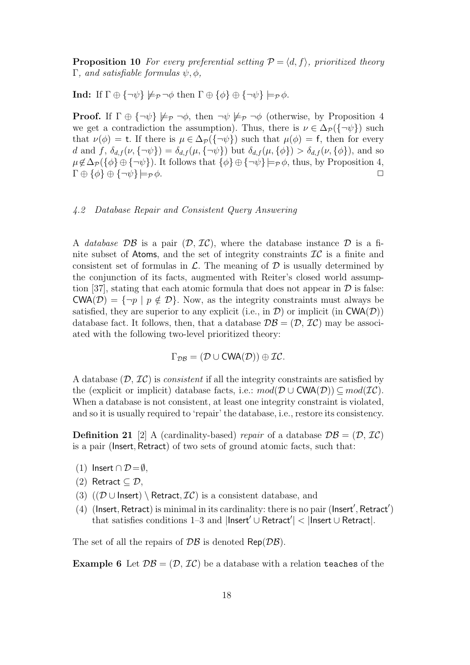**Proposition 10** For every preferential setting  $\mathcal{P} = \langle d, f \rangle$ , prioritized theory Γ, and satisfiable formulas  $ψ, φ$ ,

**Ind:** If  $\Gamma \oplus {\neg \psi} \not\models_{\mathcal{P}} \neg \phi$  then  $\Gamma \oplus {\phi} \oplus {\neg \psi} \models_{\mathcal{P}} \phi$ .

**Proof.** If  $\Gamma \oplus {\neg \psi} \not\models_{\mathcal{P}} \neg \phi$ , then  $\neg \psi \not\models_{\mathcal{P}} \neg \phi$  (otherwise, by Proposition 4 we get a contradiction the assumption). Thus, there is  $\nu \in \Delta_{\mathcal{P}}(\{\neg \psi\})$  such that  $\nu(\phi) = t$ . If there is  $\mu \in \Delta_{\mathcal{P}}(\{\neg \psi\})$  such that  $\mu(\phi) = f$ , then for every d and f,  $\delta_{d,f}(\nu, \{\neg \psi\}) = \delta_{d,f}(\mu, \{\neg \psi\})$  but  $\delta_{d,f}(\mu, \{\phi\}) > \delta_{d,f}(\nu, \{\phi\})$ , and so  $\mu \notin \Delta_{\mathcal{P}}(\{\phi\} \oplus \{\neg \psi\})$ . It follows that  $\{\phi\} \oplus \{\neg \psi\} \models_{\mathcal{P}} \phi$ , thus, by Proposition 4,  $\Gamma \oplus {\phi} \oplus {\neg \psi} \models_{\mathcal{P}} \phi.$ 

#### 4.2 Database Repair and Consistent Query Answering

A database  $\mathcal{DB}$  is a pair  $(\mathcal{D}, \mathcal{IC})$ , where the database instance  $\mathcal D$  is a finite subset of Atoms, and the set of integrity constraints  $\mathcal{IC}$  is a finite and consistent set of formulas in  $\mathcal{L}$ . The meaning of  $\mathcal{D}$  is usually determined by the conjunction of its facts, augmented with Reiter's closed world assumption [37], stating that each atomic formula that does not appear in  $\mathcal D$  is false:  $\text{CWA}(\mathcal{D}) = \{\neg p \mid p \notin \mathcal{D}\}\$ . Now, as the integrity constraints must always be satisfied, they are superior to any explicit (i.e., in  $\mathcal{D}$ ) or implicit (in CWA( $\mathcal{D}$ )) database fact. It follows, then, that a database  $\mathcal{DB} = (\mathcal{D}, \mathcal{IC})$  may be associated with the following two-level prioritized theory:

$$
\Gamma_{\mathcal{DB}} = (\mathcal{D} \cup \text{CWA}(\mathcal{D})) \oplus \mathcal{IC}.
$$

A database  $(D, \mathcal{I}C)$  is *consistent* if all the integrity constraints are satisfied by the (explicit or implicit) database facts, i.e.:  $mod(\mathcal{D} \cup \mathsf{CWA}(\mathcal{D})) \subseteq mod(\mathcal{IC}).$ When a database is not consistent, at least one integrity constraint is violated, and so it is usually required to 'repair' the database, i.e., restore its consistency.

**Definition 21** [2] A (cardinality-based) repair of a database  $\mathcal{DB} = (\mathcal{D}, \mathcal{IC})$ is a pair (Insert, Retract) of two sets of ground atomic facts, such that:

- (1) Insert ∩  $\mathcal{D} = \emptyset$ ,
- (2) Retract  $\subseteq \mathcal{D}$ ,
- (3)  $(\mathcal{D} \cup$  Insert) \ Retract,  $\mathcal{IC}$ ) is a consistent database, and
- (4) (Insert, Retract) is minimal in its cardinality: there is no pair (Insert', Retract') that satisfies conditions 1–3 and  $|\mathsf{Insert}' \cup \mathsf{Retract}'| < |\mathsf{Insert} \cup \mathsf{Retract}|.$

The set of all the repairs of  $\mathcal{DB}$  is denoted Rep( $\mathcal{DB}$ ).

**Example 6** Let  $\mathcal{DB} = (\mathcal{D}, \mathcal{IC})$  be a database with a relation teaches of the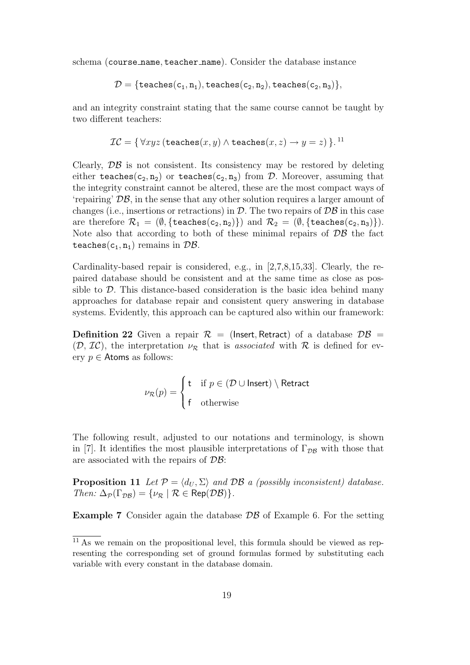schema (course name, teacher name). Consider the database instance

$$
\mathcal{D} = \{\mathtt{teaches}(c_1, n_1), \mathtt{teaches}(c_2, n_2), \mathtt{teaches}(c_2, n_3)\},
$$

and an integrity constraint stating that the same course cannot be taught by two different teachers:

$$
\mathcal{IC} = \{ \forall xyz \, (\texttt{teaches}(x, y) \land \texttt{teaches}(x, z) \rightarrow y = z) \}.
$$
<sup>11</sup>

Clearly,  $\mathcal{DB}$  is not consistent. Its consistency may be restored by deleting either teaches( $c_2, n_2$ ) or teaches( $c_2, n_3$ ) from D. Moreover, assuming that the integrity constraint cannot be altered, these are the most compact ways of 'repairing' DB, in the sense that any other solution requires a larger amount of changes (i.e., insertions or retractions) in  $D$ . The two repairs of  $D\mathcal{B}$  in this case are therefore  $\mathcal{R}_1 = (\emptyset, {\{\text{teaches}(c_2, n_2)\}})$  and  $\mathcal{R}_2 = (\emptyset, {\{\text{teaches}(c_2, n_3)\}}).$ Note also that according to both of these minimal repairs of  $\mathcal{DB}$  the fact teaches( $c_1$ ,  $n_1$ ) remains in  $\mathcal{DB}$ .

Cardinality-based repair is considered, e.g., in [2,7,8,15,33]. Clearly, the repaired database should be consistent and at the same time as close as possible to  $\mathcal{D}$ . This distance-based consideration is the basic idea behind many approaches for database repair and consistent query answering in database systems. Evidently, this approach can be captured also within our framework:

**Definition 22** Given a repair  $\mathcal{R} =$  (lnsert, Retract) of a database  $\mathcal{DB} =$  $(\mathcal{D}, \mathcal{IC})$ , the interpretation  $\nu_{\mathcal{R}}$  that is associated with  $\mathcal R$  is defined for every  $p \in$  Atoms as follows:

$$
\nu_{\mathcal{R}}(p) = \begin{cases} \n\mathsf{t} & \text{if } p \in (\mathcal{D} \cup \mathsf{Insert}) \setminus \mathsf{Retract} \\ \n\mathsf{f} & \text{otherwise} \n\end{cases}
$$

The following result, adjusted to our notations and terminology, is shown in [7]. It identifies the most plausible interpretations of  $\Gamma_{\mathcal{D}\mathcal{B}}$  with those that are associated with the repairs of DB:

**Proposition 11** Let  $\mathcal{P} = \langle d_U, \Sigma \rangle$  and  $\mathcal{DB}$  a (possibly inconsistent) database. Then:  $\Delta_{\mathcal{P}}(\Gamma_{\mathcal{DB}}) = {\nu_{\mathcal{R}} | \mathcal{R} \in \text{Rep}(\mathcal{DB})}.$ 

**Example 7** Consider again the database  $\mathcal{DB}$  of Example 6. For the setting

 $11$  As we remain on the propositional level, this formula should be viewed as representing the corresponding set of ground formulas formed by substituting each variable with every constant in the database domain.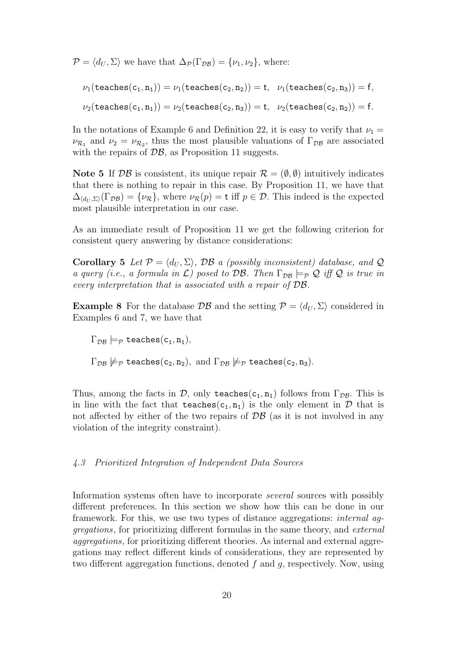$\mathcal{P} = \langle d_U, \Sigma \rangle$  we have that  $\Delta_{\mathcal{P}}(\Gamma_{\mathcal{DB}}) = {\nu_1, \nu_2}$ , where:

 $\nu_1(\text{teaches}(c_1, n_1)) = \nu_1(\text{teaches}(c_2, n_2)) = t$ ,  $\nu_1(\text{teaches}(c_2, n_3)) = f$ ,  $\nu_2(\text{teaches}(c_1, n_1)) = \nu_2(\text{teaches}(c_2, n_3)) = t$ ,  $\nu_2(\text{teaches}(c_2, n_2)) = f$ .

In the notations of Example 6 and Definition 22, it is easy to verify that  $\nu_1 =$  $\nu_{\mathcal{R}_1}$  and  $\nu_2 = \nu_{\mathcal{R}_2}$ , thus the most plausible valuations of  $\Gamma_{\mathcal{DB}}$  are associated with the repairs of  $\mathcal{DB}$ , as Proposition 11 suggests.

Note 5 If  $\mathcal{DB}$  is consistent, its unique repair  $\mathcal{R} = (\emptyset, \emptyset)$  intuitively indicates that there is nothing to repair in this case. By Proposition 11, we have that  $\Delta_{\langle d_U, \Sigma \rangle}(\Gamma_{\mathcal{DB}}) = {\nu_{\mathcal{R}}},$  where  $\nu_{\mathcal{R}}(p) = t$  iff  $p \in \mathcal{D}$ . This indeed is the expected most plausible interpretation in our case.

As an immediate result of Proposition 11 we get the following criterion for consistent query answering by distance considerations:

Corollary 5 Let  $P = \langle d_U, \Sigma \rangle$ , DB a (possibly inconsistent) database, and Q a query (i.e., a formula in  $\mathcal{L}$ ) posed to DB. Then  $\Gamma_{\mathcal{D}\mathcal{B}} \models_{\mathcal{P}} \mathcal{Q}$  iff  $\mathcal{Q}$  is true in every interpretation that is associated with a repair of DB.

**Example 8** For the database  $\mathcal{DB}$  and the setting  $\mathcal{P} = \langle d_U, \Sigma \rangle$  considered in Examples 6 and 7, we have that

 $\Gamma_{\mathcal{DB}} \models_{\mathcal{P}} \text{teaches}(\mathsf{c}_1, \mathsf{n}_1),$ 

 $\Gamma_{\mathcal{DB}} \not\models_{\mathcal{P}} \text{teaches}(c_2, n_2), \text{ and } \Gamma_{\mathcal{DB}} \not\models_{\mathcal{P}} \text{teaches}(c_2, n_3).$ 

Thus, among the facts in  $\mathcal{D}$ , only teaches(c<sub>1</sub>, n<sub>1</sub>) follows from  $\Gamma_{\mathcal{DB}}$ . This is in line with the fact that teaches(c<sub>1</sub>, n<sub>1</sub>) is the only element in  $\mathcal D$  that is not affected by either of the two repairs of  $\mathcal{DB}$  (as it is not involved in any violation of the integrity constraint).

# 4.3 Prioritized Integration of Independent Data Sources

Information systems often have to incorporate several sources with possibly different preferences. In this section we show how this can be done in our framework. For this, we use two types of distance aggregations: internal aggregations, for prioritizing different formulas in the same theory, and external aggregations, for prioritizing different theories. As internal and external aggregations may reflect different kinds of considerations, they are represented by two different aggregation functions, denoted  $f$  and  $g$ , respectively. Now, using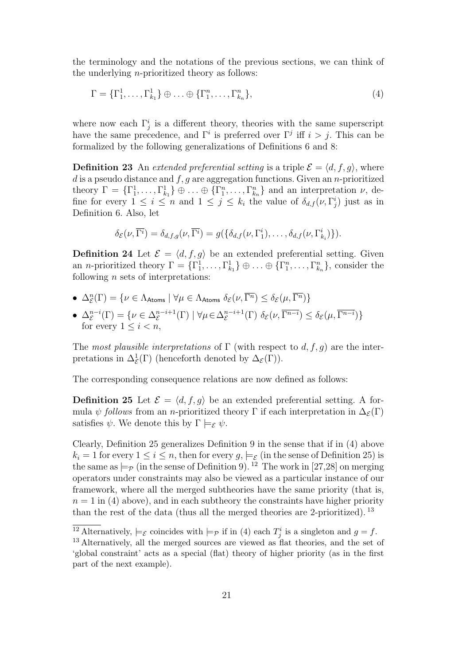the terminology and the notations of the previous sections, we can think of the underlying n-prioritized theory as follows:

$$
\Gamma = {\Gamma}_1^1, \ldots, {\Gamma}_{k_1}^1 \} \oplus \ldots \oplus {\Gamma}_1^n, \ldots, {\Gamma}_{k_n}^n,
$$
\n
$$
(4)
$$

where now each  $\Gamma_j^i$  is a different theory, theories with the same superscript have the same precedence, and  $\Gamma^i$  is preferred over  $\Gamma^j$  iff  $i > j$ . This can be formalized by the following generalizations of Definitions 6 and 8:

**Definition 23** An extended preferential setting is a triple  $\mathcal{E} = \langle d, f, g \rangle$ , where d is a pseudo distance and  $f, g$  are aggregation functions. Given an n-prioritized theory  $\Gamma = \{\Gamma_1^1, \ldots, \Gamma_{k_1}^1\} \oplus \ldots \oplus \{\Gamma_1^n, \ldots, \Gamma_{k_n}^n\}$  and an interpretation  $\nu$ , define for every  $1 \leq i \leq n$  and  $1 \leq j \leq k_i$  the value of  $\delta_{d,f}(\nu,\Gamma_j^i)$  just as in Definition 6. Also, let

$$
\delta_{\mathcal{E}}(\nu, \overline{\Gamma^i}) = \delta_{d,f,g}(\nu, \overline{\Gamma^i}) = g(\{\delta_{d,f}(\nu, \Gamma^i_1), \ldots, \delta_{d,f}(\nu, \Gamma^i_{k_i})\}).
$$

**Definition 24** Let  $\mathcal{E} = \langle d, f, g \rangle$  be an extended preferential setting. Given an *n*-prioritized theory  $\Gamma = {\Gamma_1^1, \ldots, \Gamma_{k_1}^1} \oplus \ldots \oplus {\Gamma_1^n, \ldots, \Gamma_{k_n}^n}$ , consider the following  $n$  sets of interpretations:

- $\Delta_{\mathcal{E}}^n(\Gamma) = \{ \nu \in \Lambda_{\text{Atoms}} \mid \forall \mu \in \Lambda_{\text{Atoms}} \ \delta_{\mathcal{E}}(\nu, \overline{\Gamma^n}) \leq \delta_{\mathcal{E}}(\mu, \overline{\Gamma^n}) \}$  $\mathcal E$
- $\Delta_{\mathcal{E}}^{n-i}(\Gamma) = \{ \nu \in \Delta_{\mathcal{E}}^{n-i+1}(\Gamma) \mid \forall \mu \in \Delta_{\mathcal{E}}^{n-i+1}(\Gamma) \; \delta_{\mathcal{E}}(\nu, \overline{\Gamma^{n-i}}) \leq \delta_{\mathcal{E}}(\mu, \overline{\Gamma^{n-i}}) \}$ for every  $1 \leq i < n$ ,

The most plausible interpretations of  $\Gamma$  (with respect to  $d, f, g$ ) are the interpretations in  $\Delta_{\mathcal{E}}^1(\Gamma)$  (henceforth denoted by  $\Delta_{\mathcal{E}}(\Gamma)$ ).

The corresponding consequence relations are now defined as follows:

**Definition 25** Let  $\mathcal{E} = \langle d, f, g \rangle$  be an extended preferential setting. A formula  $\psi$  follows from an n-prioritized theory Γ if each interpretation in  $\Delta_{\mathcal{E}}(\Gamma)$ satisfies  $\psi$ . We denote this by  $\Gamma \models_{\mathcal{E}} \psi$ .

Clearly, Definition 25 generalizes Definition 9 in the sense that if in (4) above  $k_i = 1$  for every  $1 \leq i \leq n$ , then for every  $q, \models_{\mathcal{E}}$  (in the sense of Definition 25) is the same as  $\models_{\mathcal{P}}$  (in the sense of Definition 9). <sup>12</sup> The work in [27,28] on merging operators under constraints may also be viewed as a particular instance of our framework, where all the merged subtheories have the same priority (that is,  $n = 1$  in (4) above), and in each subtheory the constraints have higher priority than the rest of the data (thus all the merged theories are 2-prioritized).  $^{13}$ 

<sup>&</sup>lt;sup>12</sup> Alternatively,  $\models_{\mathcal{E}}$  coincides with  $\models_{\mathcal{P}}$  if in (4) each  $T_j^i$  is a singleton and  $g = f$ .

<sup>&</sup>lt;sup>13</sup> Alternatively, all the merged sources are viewed as flat theories, and the set of 'global constraint' acts as a special (flat) theory of higher priority (as in the first part of the next example).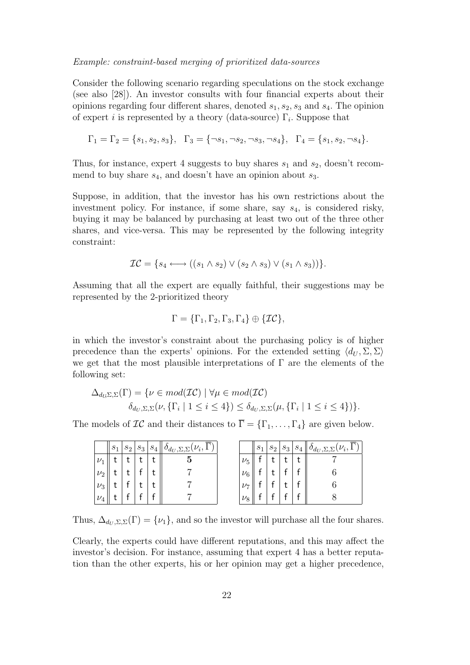#### Example: constraint-based merging of prioritized data-sources

Consider the following scenario regarding speculations on the stock exchange (see also [28]). An investor consults with four financial experts about their opinions regarding four different shares, denoted  $s_1, s_2, s_3$  and  $s_4$ . The opinion of expert *i* is represented by a theory (data-source)  $\Gamma_i$ . Suppose that

$$
\Gamma_1 = \Gamma_2 = \{s_1, s_2, s_3\}, \quad \Gamma_3 = \{\neg s_1, \neg s_2, \neg s_3, \neg s_4\}, \quad \Gamma_4 = \{s_1, s_2, \neg s_4\}.
$$

Thus, for instance, expert 4 suggests to buy shares  $s_1$  and  $s_2$ , doesn't recommend to buy share  $s_4$ , and doesn't have an opinion about  $s_3$ .

Suppose, in addition, that the investor has his own restrictions about the investment policy. For instance, if some share, say  $s_4$ , is considered risky, buying it may be balanced by purchasing at least two out of the three other shares, and vice-versa. This may be represented by the following integrity constraint:

$$
\mathcal{IC} = \{s_4 \longleftrightarrow ((s_1 \wedge s_2) \vee (s_2 \wedge s_3) \vee (s_1 \wedge s_3))\}.
$$

Assuming that all the expert are equally faithful, their suggestions may be represented by the 2-prioritized theory

$$
\Gamma = \{\Gamma_1, \Gamma_2, \Gamma_3, \Gamma_4\} \oplus \{\mathcal{IC}\},
$$

in which the investor's constraint about the purchasing policy is of higher precedence than the experts' opinions. For the extended setting  $\langle d_{U}, \Sigma, \Sigma \rangle$ we get that the most plausible interpretations of  $\Gamma$  are the elements of the following set:

$$
\Delta_{d_{U},\Sigma,\Sigma}(\Gamma) = \{ \nu \in mod(\mathcal{IC}) \mid \forall \mu \in mod(\mathcal{IC}) \delta_{d_{U},\Sigma,\Sigma}(\nu, \{\Gamma_{i} \mid 1 \leq i \leq 4\}) \leq \delta_{d_{U},\Sigma,\Sigma}(\mu, \{\Gamma_{i} \mid 1 \leq i \leq 4\}) \}.
$$

The models of  $\mathcal{IC}$  and their distances to  $\overline{\Gamma} = {\Gamma_1, \ldots, \Gamma_4}$  are given below.

|         | $s_1$ | $s_2$ | $s_3$ | $s_{4}$ | $\theta_{d_U, \Sigma, \Sigma}(\nu_i, 1)$ |           | $s_1$ | $s_2$ | $s_3$ | $S_4$ | $\ \theta_{d_U,\Sigma,\Sigma}(\nu_i,1)\ $ |
|---------|-------|-------|-------|---------|------------------------------------------|-----------|-------|-------|-------|-------|-------------------------------------------|
| $\nu_1$ |       |       |       |         |                                          | $\nu_5$   |       |       |       |       |                                           |
| $\nu_2$ |       |       |       |         |                                          | $\nu_6$   |       |       |       |       |                                           |
| $\nu_3$ |       |       |       |         |                                          | $\nu_{7}$ |       |       |       |       |                                           |
| $\nu_4$ |       |       |       |         |                                          | $\nu_8$   |       |       |       |       |                                           |

Thus,  $\Delta_{d_U, \Sigma, \Sigma}(\Gamma) = {\nu_1}$ , and so the investor will purchase all the four shares.

Clearly, the experts could have different reputations, and this may affect the investor's decision. For instance, assuming that expert 4 has a better reputation than the other experts, his or her opinion may get a higher precedence,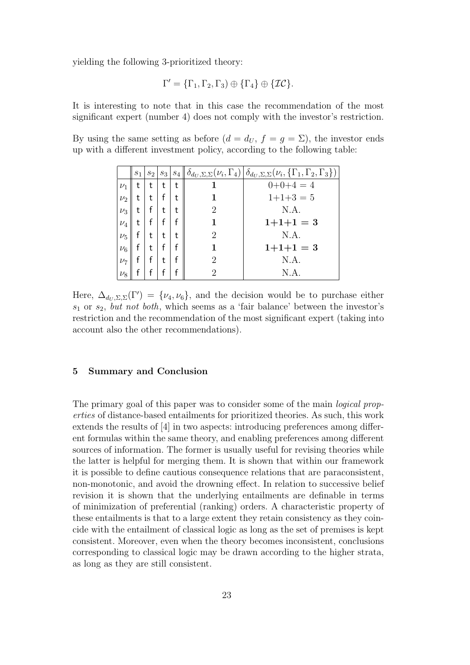yielding the following 3-prioritized theory:

$$
\Gamma' = \{\Gamma_1, \Gamma_2, \Gamma_3) \oplus \{\Gamma_4\} \oplus \{\mathcal{IC}\}.
$$

It is interesting to note that in this case the recommendation of the most significant expert (number 4) does not comply with the investor's restriction.

By using the same setting as before  $(d = d_U, f = q = \Sigma)$ , the investor ends up with a different investment policy, according to the following table:

|         | $s_1$ | $s_2$ | $s_3$ |   |   | $s_4 \ \delta_{d_U, \Sigma, \Sigma}(\nu_i, \Gamma_4) \ \delta_{d_U, \Sigma, \Sigma}(\nu_i, \{\Gamma_1, \Gamma_2, \Gamma_3\})$ |
|---------|-------|-------|-------|---|---|-------------------------------------------------------------------------------------------------------------------------------|
| $\nu_1$ |       | t     | t     | t |   | $0+0+4=4$                                                                                                                     |
| $\nu_2$ |       | t     |       | t |   | $1+1+3=5$                                                                                                                     |
| $\nu_3$ | t     |       | t     | t | 2 | N.A.                                                                                                                          |
| $\nu_4$ |       |       |       | f |   | $1+1+1=3$                                                                                                                     |
| $\nu_5$ |       | t     | t     | t | 2 | N.A.                                                                                                                          |
| $\nu_6$ |       | t     |       | f |   | $1+1+1=3$                                                                                                                     |
| $\nu_7$ |       |       | t     | f |   | N.A.                                                                                                                          |
| $\nu_8$ |       |       |       | f |   | N.A.                                                                                                                          |

Here,  $\Delta_{d_U, \Sigma, \Sigma}(\Gamma') = {\nu_4, \nu_6}$ , and the decision would be to purchase either  $s_1$  or  $s_2$ , but not both, which seems as a 'fair balance' between the investor's restriction and the recommendation of the most significant expert (taking into account also the other recommendations).

## 5 Summary and Conclusion

The primary goal of this paper was to consider some of the main logical properties of distance-based entailments for prioritized theories. As such, this work extends the results of [4] in two aspects: introducing preferences among different formulas within the same theory, and enabling preferences among different sources of information. The former is usually useful for revising theories while the latter is helpful for merging them. It is shown that within our framework it is possible to define cautious consequence relations that are paraconsistent, non-monotonic, and avoid the drowning effect. In relation to successive belief revision it is shown that the underlying entailments are definable in terms of minimization of preferential (ranking) orders. A characteristic property of these entailments is that to a large extent they retain consistency as they coincide with the entailment of classical logic as long as the set of premises is kept consistent. Moreover, even when the theory becomes inconsistent, conclusions corresponding to classical logic may be drawn according to the higher strata, as long as they are still consistent.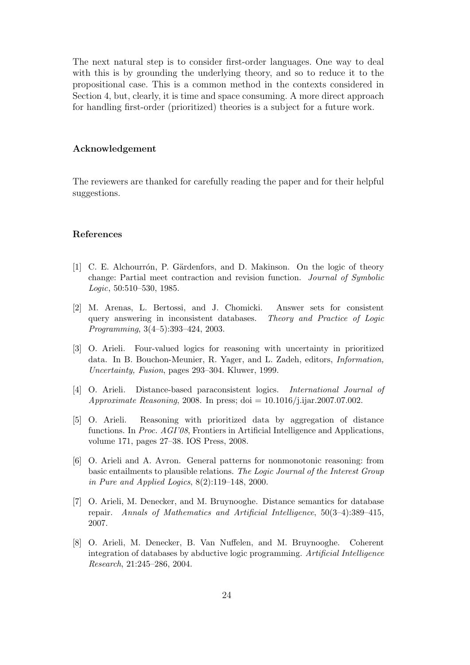The next natural step is to consider first-order languages. One way to deal with this is by grounding the underlying theory, and so to reduce it to the propositional case. This is a common method in the contexts considered in Section 4, but, clearly, it is time and space consuming. A more direct approach for handling first-order (prioritized) theories is a subject for a future work.

## Acknowledgement

The reviewers are thanked for carefully reading the paper and for their helpful suggestions.

## References

- [1] C. E. Alchourrón, P. Gärdenfors, and D. Makinson. On the logic of theory change: Partial meet contraction and revision function. Journal of Symbolic Logic, 50:510–530, 1985.
- [2] M. Arenas, L. Bertossi, and J. Chomicki. Answer sets for consistent query answering in inconsistent databases. Theory and Practice of Logic Programming, 3(4–5):393–424, 2003.
- [3] O. Arieli. Four-valued logics for reasoning with uncertainty in prioritized data. In B. Bouchon-Meunier, R. Yager, and L. Zadeh, editors, Information, Uncertainty, Fusion, pages 293–304. Kluwer, 1999.
- [4] O. Arieli. Distance-based paraconsistent logics. International Journal of Approximate Reasoning, 2008. In press; doi =  $10.1016/j$ .ijar.2007.07.002.
- [5] O. Arieli. Reasoning with prioritized data by aggregation of distance functions. In Proc. AGI'08, Frontiers in Artificial Intelligence and Applications, volume 171, pages 27–38. IOS Press, 2008.
- [6] O. Arieli and A. Avron. General patterns for nonmonotonic reasoning: from basic entailments to plausible relations. The Logic Journal of the Interest Group in Pure and Applied Logics, 8(2):119–148, 2000.
- [7] O. Arieli, M. Denecker, and M. Bruynooghe. Distance semantics for database repair. Annals of Mathematics and Artificial Intelligence, 50(3–4):389–415, 2007.
- [8] O. Arieli, M. Denecker, B. Van Nuffelen, and M. Bruynooghe. Coherent integration of databases by abductive logic programming. Artificial Intelligence Research, 21:245–286, 2004.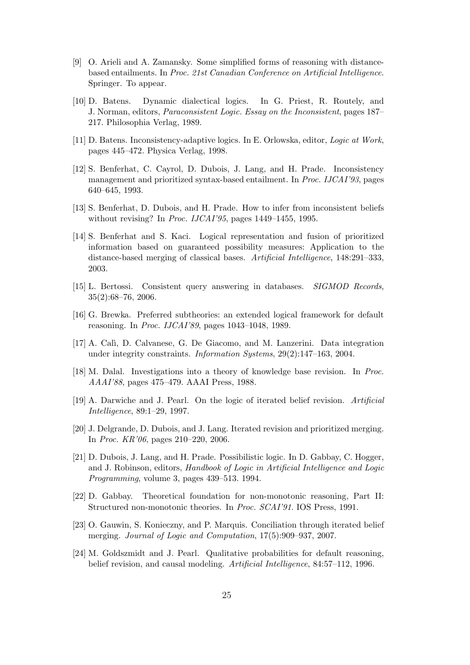- [9] O. Arieli and A. Zamansky. Some simplified forms of reasoning with distancebased entailments. In Proc. 21st Canadian Conference on Artificial Intelligence. Springer. To appear.
- [10] D. Batens. Dynamic dialectical logics. In G. Priest, R. Routely, and J. Norman, editors, Paraconsistent Logic. Essay on the Inconsistent, pages 187– 217. Philosophia Verlag, 1989.
- [11] D. Batens. Inconsistency-adaptive logics. In E. Orlowska, editor, Logic at Work, pages 445–472. Physica Verlag, 1998.
- [12] S. Benferhat, C. Cayrol, D. Dubois, J. Lang, and H. Prade. Inconsistency management and prioritized syntax-based entailment. In Proc. IJCAI'93, pages 640–645, 1993.
- [13] S. Benferhat, D. Dubois, and H. Prade. How to infer from inconsistent beliefs without revising? In *Proc. IJCAI'95*, pages 1449–1455, 1995.
- [14] S. Benferhat and S. Kaci. Logical representation and fusion of prioritized information based on guaranteed possibility measures: Application to the distance-based merging of classical bases. Artificial Intelligence, 148:291–333, 2003.
- [15] L. Bertossi. Consistent query answering in databases. SIGMOD Records, 35(2):68–76, 2006.
- [16] G. Brewka. Preferred subtheories: an extended logical framework for default reasoning. In Proc. IJCAI'89, pages 1043–1048, 1989.
- [17] A. Cal`ı, D. Calvanese, G. De Giacomo, and M. Lanzerini. Data integration under integrity constraints. Information Systems, 29(2):147–163, 2004.
- [18] M. Dalal. Investigations into a theory of knowledge base revision. In Proc. AAAI'88, pages 475–479. AAAI Press, 1988.
- [19] A. Darwiche and J. Pearl. On the logic of iterated belief revision. Artificial Intelligence, 89:1–29, 1997.
- [20] J. Delgrande, D. Dubois, and J. Lang. Iterated revision and prioritized merging. In Proc. KR'06, pages 210–220, 2006.
- [21] D. Dubois, J. Lang, and H. Prade. Possibilistic logic. In D. Gabbay, C. Hogger, and J. Robinson, editors, Handbook of Logic in Artificial Intelligence and Logic Programming, volume 3, pages 439–513. 1994.
- [22] D. Gabbay. Theoretical foundation for non-monotonic reasoning, Part II: Structured non-monotonic theories. In Proc. SCAI'91. IOS Press, 1991.
- [23] O. Gauwin, S. Konieczny, and P. Marquis. Conciliation through iterated belief merging. Journal of Logic and Computation, 17(5):909–937, 2007.
- [24] M. Goldszmidt and J. Pearl. Qualitative probabilities for default reasoning, belief revision, and causal modeling. Artificial Intelligence, 84:57–112, 1996.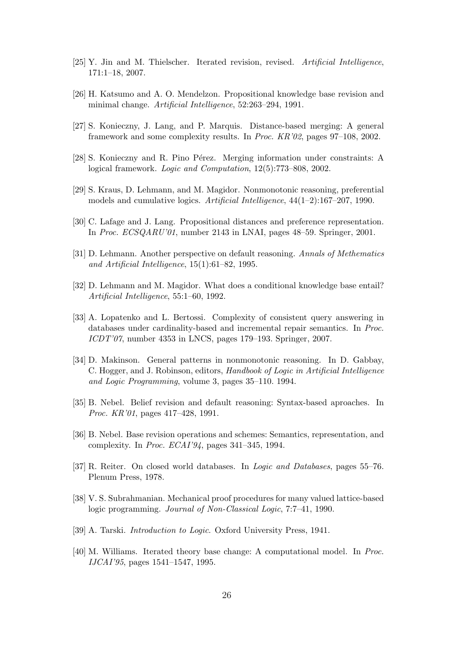- [25] Y. Jin and M. Thielscher. Iterated revision, revised. Artificial Intelligence, 171:1–18, 2007.
- [26] H. Katsumo and A. O. Mendelzon. Propositional knowledge base revision and minimal change. Artificial Intelligence, 52:263–294, 1991.
- [27] S. Konieczny, J. Lang, and P. Marquis. Distance-based merging: A general framework and some complexity results. In Proc. KR'02, pages 97–108, 2002.
- [28] S. Konieczny and R. Pino Pérez. Merging information under constraints: A logical framework. Logic and Computation, 12(5):773–808, 2002.
- [29] S. Kraus, D. Lehmann, and M. Magidor. Nonmonotonic reasoning, preferential models and cumulative logics. Artificial Intelligence,  $44(1-2)$ :167-207, 1990.
- [30] C. Lafage and J. Lang. Propositional distances and preference representation. In Proc. ECSQARU'01, number 2143 in LNAI, pages 48–59. Springer, 2001.
- [31] D. Lehmann. Another perspective on default reasoning. Annals of Methematics and Artificial Intelligence, 15(1):61–82, 1995.
- [32] D. Lehmann and M. Magidor. What does a conditional knowledge base entail? Artificial Intelligence, 55:1–60, 1992.
- [33] A. Lopatenko and L. Bertossi. Complexity of consistent query answering in databases under cardinality-based and incremental repair semantics. In Proc. ICDT'07, number 4353 in LNCS, pages 179–193. Springer, 2007.
- [34] D. Makinson. General patterns in nonmonotonic reasoning. In D. Gabbay, C. Hogger, and J. Robinson, editors, Handbook of Logic in Artificial Intelligence and Logic Programming, volume 3, pages 35–110. 1994.
- [35] B. Nebel. Belief revision and default reasoning: Syntax-based aproaches. In Proc. KR'01, pages 417–428, 1991.
- [36] B. Nebel. Base revision operations and schemes: Semantics, representation, and complexity. In Proc. ECAI'94, pages 341–345, 1994.
- [37] R. Reiter. On closed world databases. In Logic and Databases, pages 55–76. Plenum Press, 1978.
- [38] V. S. Subrahmanian. Mechanical proof procedures for many valued lattice-based logic programming. Journal of Non-Classical Logic, 7:7–41, 1990.
- [39] A. Tarski. Introduction to Logic. Oxford University Press, 1941.
- [40] M. Williams. Iterated theory base change: A computational model. In Proc. IJCAI'95, pages 1541–1547, 1995.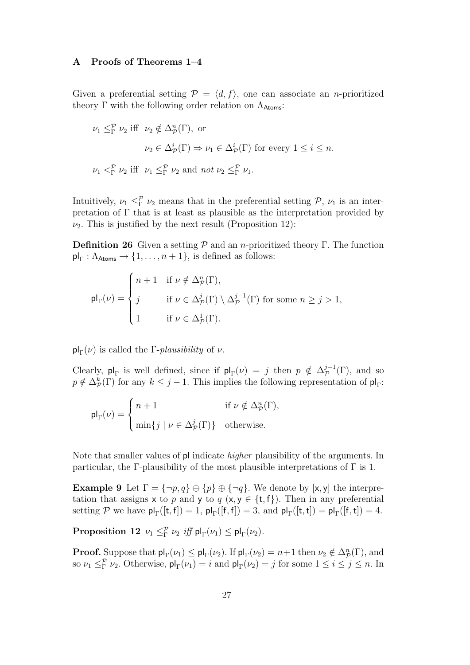# A Proofs of Theorems 1–4

Given a preferential setting  $\mathcal{P} = \langle d, f \rangle$ , one can associate an *n*-prioritized theory  $\Gamma$  with the following order relation on  $\Lambda_{\text{Atoms}}$ :

$$
\nu_1 \leq^{\mathcal{P}}_{\Gamma} \nu_2 \text{ iff } \nu_2 \notin \Delta_{\mathcal{P}}^n(\Gamma), \text{ or}
$$
  

$$
\nu_2 \in \Delta_{\mathcal{P}}^i(\Gamma) \Rightarrow \nu_1 \in \Delta_{\mathcal{P}}^i(\Gamma) \text{ for every } 1 \leq i \leq n.
$$
  

$$
\nu_1 <^{\mathcal{P}}_{\Gamma} \nu_2 \text{ iff } \nu_1 \leq^{\mathcal{P}}_{\Gamma} \nu_2 \text{ and } not \nu_2 \leq^{\mathcal{P}}_{\Gamma} \nu_1.
$$

Intuitively,  $\nu_1 \leq^{\mathcal{P}}_{\Gamma} \nu_2$  means that in the preferential setting  $\mathcal{P}, \nu_1$  is an interpretation of  $\Gamma$  that is at least as plausible as the interpretation provided by  $\nu_2$ . This is justified by the next result (Proposition 12):

**Definition 26** Given a setting  $\mathcal{P}$  and an *n*-prioritized theory Γ. The function  $\mathsf{pl}_{\Gamma} : \Lambda_{\text{Atoms}} \to \{1, \ldots, n+1\}, \text{ is defined as follows:}$ 

$$
\mathsf{pl}_{\Gamma}(\nu) = \begin{cases} n+1 & \text{if } \nu \notin \Delta_{\mathcal{P}}^n(\Gamma), \\ j & \text{if } \nu \in \Delta_{\mathcal{P}}^j(\Gamma) \setminus \Delta_{\mathcal{P}}^{j-1}(\Gamma) \text{ for some } n \geq j > 1, \\ 1 & \text{if } \nu \in \Delta_{\mathcal{P}}^1(\Gamma). \end{cases}
$$

 $\mathsf{pl}_{\Gamma}(\nu)$  is called the *Γ-plausibility* of  $\nu$ .

Clearly,  $p|_{\Gamma}$  is well defined, since if  $p|_{\Gamma}(\nu) = j$  then  $p \notin \Delta_{\mathcal{P}}^{j-1}(\Gamma)$ , and so  $p \notin \Delta_{\mathcal{P}}^k(\Gamma)$  for any  $k \leq j-1$ . This implies the following representation of  $\mathsf{pl}_{\Gamma}$ :

$$
\mathsf{pl}_{\Gamma}(\nu) = \begin{cases} n+1 & \text{if } \nu \notin \Delta_{\mathcal{P}}^n(\Gamma), \\ \min\{j \mid \nu \in \Delta_{\mathcal{P}}^j(\Gamma)\} & \text{otherwise.} \end{cases}
$$

Note that smaller values of pl indicate higher plausibility of the arguments. In particular, the Γ-plausibility of the most plausible interpretations of  $\Gamma$  is 1.

**Example 9** Let  $\Gamma = \{\neg p, q\} \oplus \{p\} \oplus \{\neg q\}$ . We denote by [x, y] the interpretation that assigns x to p and y to q  $(x, y \in \{t, f\})$ . Then in any preferential setting P we have  $\mathsf{pl}_{\Gamma}([\mathsf{t},\mathsf{f}]) = 1$ ,  $\mathsf{pl}_{\Gamma}([\mathsf{f},\mathsf{f}]) = 3$ , and  $\mathsf{pl}_{\Gamma}([\mathsf{t},\mathsf{t}]) = \mathsf{pl}_{\Gamma}([\mathsf{f},\mathsf{t}]) = 4$ .

Proposition 12  $\nu_1 \leq^{\mathcal{P}}_{\Gamma} \nu_2$  *iff*  $\mathsf{pl}_{\Gamma}(\nu_1) \leq \mathsf{pl}_{\Gamma}(\nu_2)$ .

**Proof.** Suppose that  $\mathsf{pl}_{\Gamma}(\nu_1) \leq \mathsf{pl}_{\Gamma}(\nu_2)$ . If  $\mathsf{pl}_{\Gamma}(\nu_2) = n+1$  then  $\nu_2 \notin \Delta_{\mathcal{P}}^n(\Gamma)$ , and so  $\nu_1 \leq^{\mathcal{P}}_{\Gamma} \nu_2$ . Otherwise,  $\mathsf{pl}_{\Gamma}(\nu_1) = i$  and  $\mathsf{pl}_{\Gamma}(\nu_2) = j$  for some  $1 \leq i \leq j \leq n$ . In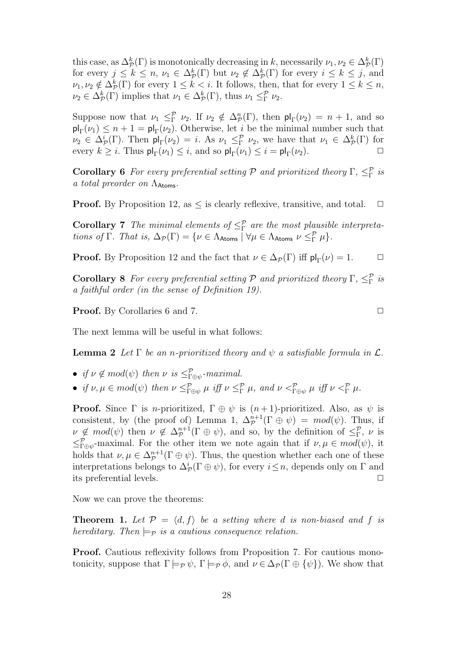this case, as  $\Delta^k_{\cal P}(\Gamma)$  is monotonically decreasing in k, necessarily  $\nu_1, \nu_2 \in \Delta^k_{\cal P}(\Gamma)$ for every  $j \leq k \leq n$ ,  $\nu_1 \in \Delta_{\mathcal{P}}^k(\Gamma)$  but  $\nu_2 \notin \Delta_{\mathcal{P}}^k(\Gamma)$  for every  $i \leq k \leq j$ , and  $\nu_1, \nu_2 \notin \Delta^k_{\mathcal{P}}(\Gamma)$  for every  $1 \leq k < i$ . It follows, then, that for every  $1 \leq k \leq n$ ,  $\nu_2 \in \Delta_{\mathcal{P}}^k(\Gamma)$  implies that  $\nu_1 \in \Delta_{\mathcal{P}}^k(\Gamma)$ , thus  $\nu_1 \leq_{\Gamma}^{\mathcal{P}} \nu_2$ .

Suppose now that  $\nu_1 \leq^{\mathcal{P}}_{\Gamma} \nu_2$ . If  $\nu_2 \notin \Delta_{\mathcal{P}}^n(\Gamma)$ , then  $\mathsf{pl}_{\Gamma}(\nu_2) = n + 1$ , and so  $\mathsf{pl}_{\Gamma}(\nu_1) \leq n+1 = \mathsf{pl}_{\Gamma}(\nu_2)$ . Otherwise, let *i* be the minimal number such that  $\nu_2 \in \Delta_{\mathcal{P}}^i(\Gamma)$ . Then  $\mathsf{pl}_{\Gamma}(\nu_2) = i$ . As  $\nu_1 \leq_{\Gamma}^{\mathcal{P}} \nu_2$ , we have that  $\nu_1 \in \Delta_{\mathcal{P}}^k(\Gamma)$  for every  $k \geq i$ . Thus  $\mathsf{pl}_{\Gamma}(\nu_1) \leq i$ , and so  $\mathsf{pl}_{\Gamma}(\nu_1) \leq i = \mathsf{pl}_{\Gamma}(\nu_2)$ .

**Corollary 6** For every preferential setting P and prioritized theory  $\Gamma$ ,  $\leq^{\mathcal{P}}_{\Gamma}$  is a total preorder on  $\Lambda_{\text{Atoms}}$ .

**Proof.** By Proposition 12, as  $\leq$  is clearly reflexive, transitive, and total.  $\Box$ 

**Corollary 7** The minimal elements of  $\leq^{\mathcal{P}}_{\Gamma}$  are the most plausible interpretations of  $\Gamma$ . That is,  $\Delta_{\mathcal{P}}(\Gamma) = \{ \nu \in \Lambda_{\text{Atoms}} \mid \forall \mu \in \Lambda_{\text{Atoms}} \nu \leq^{\mathcal{P}}_{\Gamma} \mu \}.$ 

**Proof.** By Proposition 12 and the fact that  $\nu \in \Delta_{\mathcal{P}}(\Gamma)$  iff  $\mathsf{pl}_{\Gamma}(\nu) = 1$ .  $\Box$ 

**Corollary 8** For every preferential setting P and prioritized theory  $\Gamma$ ,  $\leq^{\mathcal{P}}_{\Gamma}$  is a faithful order (in the sense of Definition 19).

**Proof.** By Corollaries 6 and 7. ◯

The next lemma will be useful in what follows:

**Lemma 2** Let  $\Gamma$  be an n-prioritized theory and  $\psi$  a satisfiable formula in  $\mathcal{L}$ .

• if  $\nu \notin mod(\psi)$  then  $\nu$  is  $\leq^{\mathcal{P}}_{\Gamma \oplus \psi}$ -maximal.

• if 
$$
\nu, \mu \in mod(\psi)
$$
 then  $\nu \leq_{\Gamma \oplus \psi}^{\mathcal{P}} \mu$  iff  $\nu \leq_{\Gamma}^{\mathcal{P}} \mu$ , and  $\nu <_{\Gamma \oplus \psi}^{\mathcal{P}} \mu$  iff  $\nu <_{\Gamma}^{\mathcal{P}} \mu$ .

**Proof.** Since  $\Gamma$  is *n*-prioritized,  $\Gamma \oplus \psi$  is  $(n+1)$ -prioritized. Also, as  $\psi$  is consistent, by (the proof of) Lemma 1,  $\Delta_{\mathcal{P}}^{n+1}(\Gamma \oplus \psi) = mod(\psi)$ . Thus, if  $\nu \notin \text{mod}(\psi)$  then  $\nu \notin \Delta_{\mathcal{P}}^{n+1}(\Gamma \oplus \psi)$ , and so, by the definition of  $\leq^{\mathcal{P}}_{\Gamma}$ ,  $\nu$  is  $\leq^{\mathcal{P}}_{\Gamma \oplus \psi}$ -maximal. For the other item we note again that if  $\nu, \mu \in mod(\psi)$ , it holds that  $\nu, \mu \in \Delta_{\mathcal{P}}^{n+1}(\Gamma \oplus \psi)$ . Thus, the question whether each one of these interpretations belongs to  $\Delta^i_{\mathcal{P}}(\Gamma \oplus \psi)$ , for every  $i \leq n$ , depends only on  $\Gamma$  and its preferential levels.

Now we can prove the theorems:

**Theorem 1.** Let  $\mathcal{P} = \langle d, f \rangle$  be a setting where d is non-biased and f is hereditary. Then  $\models_{\mathcal{P}}$  is a cautious consequence relation.

Proof. Cautious reflexivity follows from Proposition 7. For cautious monotonicity, suppose that  $\Gamma \models_{\mathcal{P}} \psi$ ,  $\Gamma \models_{\mathcal{P}} \phi$ , and  $\nu \in \Delta_{\mathcal{P}}(\Gamma \oplus {\psi})$ . We show that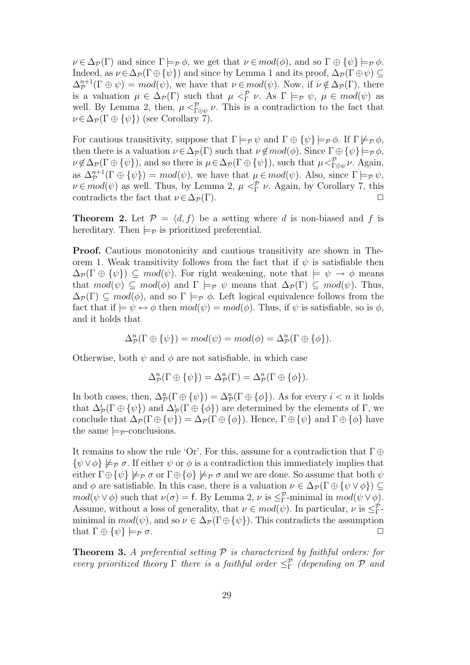$\nu \in \Delta_{\mathcal{P}}(\Gamma)$  and since  $\Gamma \models_{\mathcal{P}} \phi$ , we get that  $\nu \in mod(\phi)$ , and so  $\Gamma \oplus {\psi} \models_{\mathcal{P}} \phi$ . Indeed, as  $\nu \in \Delta_{\mathcal{P}}(\Gamma \oplus {\psi})$  and since by Lemma 1 and its proof,  $\Delta_{\mathcal{P}}(\Gamma \oplus \psi) \subseteq$  $\Delta_{\mathcal{P}}^{n+1}(\Gamma \oplus \psi) = mod(\psi)$ , we have that  $\nu \in mod(\psi)$ . Now, if  $\nu \notin \Delta_{\mathcal{P}}(\Gamma)$ , there is a valuation  $\mu \in \Delta_{\mathcal{P}}(\Gamma)$  such that  $\mu <sup>P</sup><sub>\Gamma</sub> \nu$ . As  $\Gamma \models_{\mathcal{P}} \psi$ ,  $\mu \in mod(\psi)$  as well. By Lemma 2, then,  $\mu <^{\mathcal{P}}_{\Gamma \oplus \psi} \nu$ . This is a contradiction to the fact that  $\nu \in \Delta_{\mathcal{P}}(\Gamma \oplus {\psi})$  (see Corollary 7).

For cautious transitivity, suppose that  $\Gamma \models_{\mathcal{P}} \psi$  and  $\Gamma \oplus {\psi} \models_{\mathcal{P}} \phi$ . If  $\Gamma \not\models_{\mathcal{P}} \phi$ , then there is a valuation  $\nu \in \Delta_{\mathcal{P}}(\Gamma)$  such that  $\nu \notin mod(\phi)$ . Since  $\Gamma \oplus {\psi} \models_{\mathcal{P}} \phi$ ,  $\nu \notin \Delta_{\mathcal{P}}(\Gamma \oplus {\psi}),$  and so there is  $\mu \in \Delta_{\mathcal{P}}(\Gamma \oplus {\psi}),$  such that  $\mu <sup>p</sup>_{\Gamma \oplus \psi} \nu$ . Again, as  $\Delta_{\mathcal{P}}^{n+1}(\Gamma \oplus {\psi}) = mod(\psi)$ , we have that  $\mu \in mod(\psi)$ . Also, since  $\Gamma \models_{\mathcal{P}} \psi$ ,  $\nu \in mod(\psi)$  as well. Thus, by Lemma 2,  $\mu <sup>P</sup><sub>\Gamma</sub> \nu$ . Again, by Corollary 7, this contradicts the fact that  $\nu \in \Delta_{\mathcal{P}}(\Gamma)$ .

**Theorem 2.** Let  $\mathcal{P} = \langle d, f \rangle$  be a setting where d is non-biased and f is hereditary. Then  $\models_{\mathcal{P}}$  is prioritized preferential.

Proof. Cautious monotonicity and cautious transitivity are shown in Theorem 1. Weak transitivity follows from the fact that if  $\psi$  is satisfiable then  $\Delta_{\mathcal{P}}(\Gamma \oplus {\psi}) \subseteq \text{mod}(\psi)$ . For right weakening, note that  $\models \psi \rightarrow \phi$  means that  $mod(\psi) \subseteq mod(\phi)$  and  $\Gamma \models_{\mathcal{P}} \psi$  means that  $\Delta_{\mathcal{P}}(\Gamma) \subseteq mod(\psi)$ . Thus,  $\Delta_{\mathcal{P}}(\Gamma) \subseteq \mathit{mod}(\phi)$ , and so  $\Gamma \models_{\mathcal{P}} \phi$ . Left logical equivalence follows from the fact that if  $\models \psi \leftrightarrow \phi$  then  $mod(\psi) = mod(\phi)$ . Thus, if  $\psi$  is satisfiable, so is  $\phi$ , and it holds that

$$
\Delta_{\mathcal{P}}^n(\Gamma \oplus {\psi}) = mod(\psi) = mod(\phi) = \Delta_{\mathcal{P}}^n(\Gamma \oplus {\phi}).
$$

Otherwise, both  $\psi$  and  $\phi$  are not satisfiable, in which case

$$
\Delta_{\mathcal{P}}^n(\Gamma \oplus {\psi}) = \Delta_{\mathcal{P}}^n(\Gamma) = \Delta_{\mathcal{P}}^n(\Gamma \oplus {\phi}).
$$

In both cases, then,  $\Delta_{\mathcal{P}}^n(\Gamma \oplus {\psi}) = \Delta_{\mathcal{P}}^n(\Gamma \oplus {\phi}).$  As for every  $i < n$  it holds that  $\Delta^i_{\cal P}(\Gamma \oplus {\psi\})$  and  $\Delta^i_{\cal P}(\Gamma \oplus {\phi\})$  are determined by the elements of  $\Gamma$ , we conclude that  $\Delta_{\mathcal{P}}(\Gamma \oplus {\psi}) = \Delta_{\mathcal{P}}(\Gamma \oplus {\phi}).$  Hence,  $\Gamma \oplus {\psi}$  and  $\Gamma \oplus {\phi}$  have the same  $\models_{\mathcal{P}}$ -conclusions.

It remains to show the rule 'Or'. For this, assume for a contradiction that  $\Gamma \oplus$  $\{\psi \vee \phi\} \not\models_{\mathcal{P}} \sigma$ . If either  $\psi$  or  $\phi$  is a contradiction this immediately implies that either  $\Gamma \oplus {\psi} \not\models_{\mathcal{P}} \sigma$  or  $\Gamma \oplus {\phi} \not\models_{\mathcal{P}} \sigma$  and we are done. So assume that both  $\psi$ and  $\phi$  are satisfiable. In this case, there is a valuation  $\nu \in \Delta_{\mathcal{P}}(\Gamma \oplus {\psi \vee \phi}) \subseteq$  $mod(\psi \vee \phi)$  such that  $\nu(\sigma) = f$ . By Lemma 2,  $\nu$  is  $\leq^{\mathcal{P}}_{\Gamma}$ -minimal in  $mod(\psi \vee \phi)$ . Assume, without a loss of generality, that  $\nu \in mod(\psi)$ . In particular,  $\nu$  is  $\leq^{\mathcal{P}}_{\Gamma}$ minimal in  $mod(\psi)$ , and so  $\nu \in \Delta_{\mathcal{P}}(\Gamma \oplus {\psi})$ . This contradicts the assumption that  $\Gamma \oplus {\psi} \models_{\mathcal{P}} \sigma.$ 

**Theorem 3.** A preferential setting  $P$  is characterized by faithful orders: for every prioritized theory  $\Gamma$  there is a faithful order  $\leq^{\mathcal{P}}_{\Gamma}$  (depending on  $\mathcal P$  and